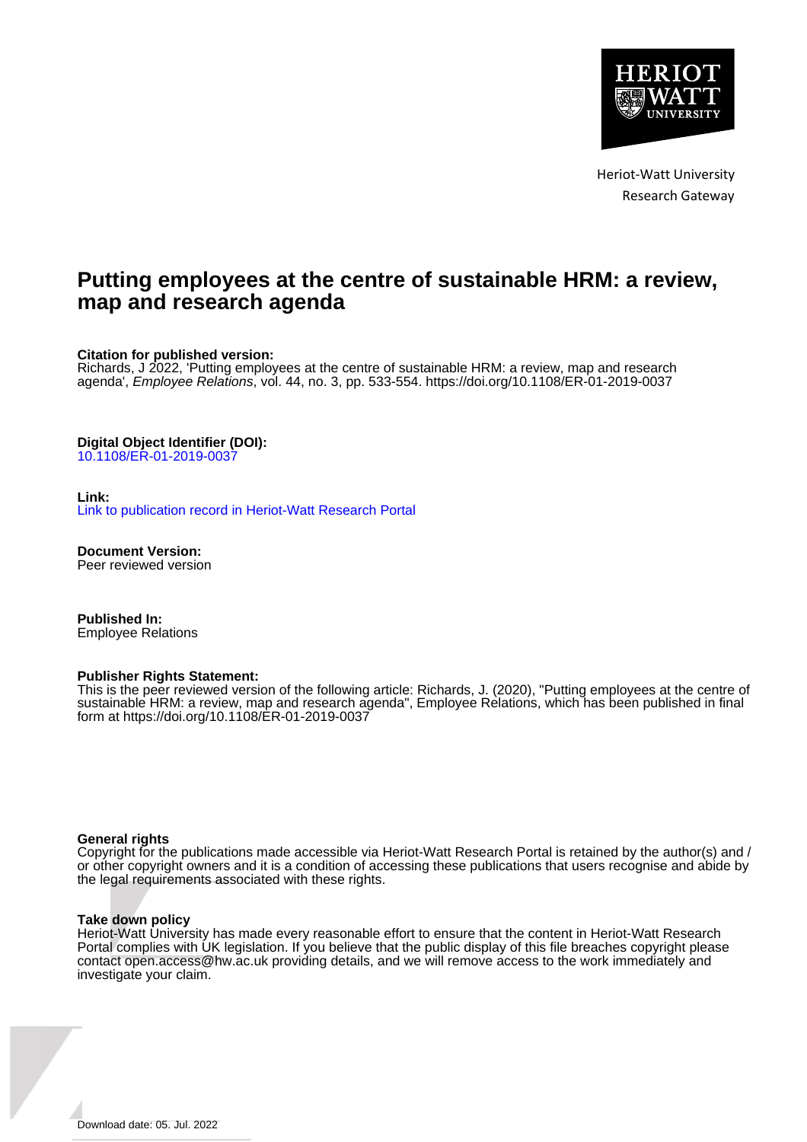

Heriot-Watt University Research Gateway

# **Putting employees at the centre of sustainable HRM: a review, map and research agenda**

**Citation for published version:**

Richards, J 2022, 'Putting employees at the centre of sustainable HRM: a review, map and research agenda', Employee Relations, vol. 44, no. 3, pp. 533-554.<https://doi.org/10.1108/ER-01-2019-0037>

**Digital Object Identifier (DOI):**

[10.1108/ER-01-2019-0037](https://doi.org/10.1108/ER-01-2019-0037)

**Link:**

[Link to publication record in Heriot-Watt Research Portal](https://researchportal.hw.ac.uk/en/publications/4fd3afc6-9b69-4802-b171-12edf969e83b)

**Document Version:** Peer reviewed version

**Published In:** Employee Relations

#### **Publisher Rights Statement:**

This is the peer reviewed version of the following article: Richards, J. (2020), "Putting employees at the centre of sustainable HRM: a review, map and research agenda", Employee Relations, which has been published in final form at https://doi.org/10.1108/ER-01-2019-0037

#### **General rights**

Copyright for the publications made accessible via Heriot-Watt Research Portal is retained by the author(s) and / or other copyright owners and it is a condition of accessing these publications that users recognise and abide by the legal requirements associated with these rights.

#### **Take down policy**

Heriot-Watt University has made every reasonable effort to ensure that the content in Heriot-Watt Research Portal complies with UK legislation. If you believe that the public display of this file breaches copyright please contact open.access@hw.ac.uk providing details, and we will remove access to the work immediately and investigate your claim.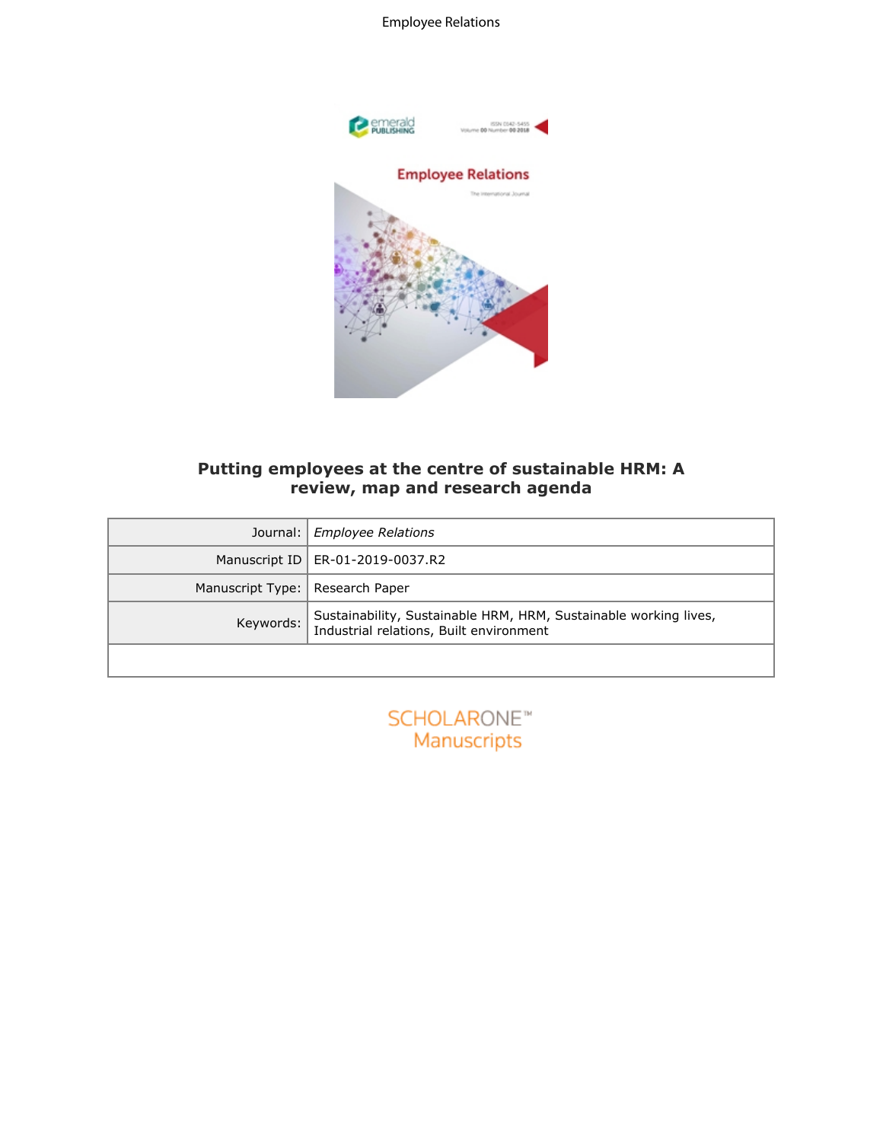# Employee Relations



# **Putting employees at the centre of sustainable HRM: A review, map and research agenda**

| Putting employees at the centre of sustainable HRM: A<br>review, map and research agenda |                                                                                                             |
|------------------------------------------------------------------------------------------|-------------------------------------------------------------------------------------------------------------|
| Journal:                                                                                 | <b>Employee Relations</b>                                                                                   |
| Manuscript ID                                                                            | ER-01-2019-0037.R2                                                                                          |
| Manuscript Type:                                                                         | Research Paper                                                                                              |
| Keywords:                                                                                | Sustainability, Sustainable HRM, HRM, Sustainable working lives,<br>Industrial relations, Built environment |
|                                                                                          |                                                                                                             |
| <b>SCHOLARONE™</b><br><b>Manuscripts</b>                                                 |                                                                                                             |

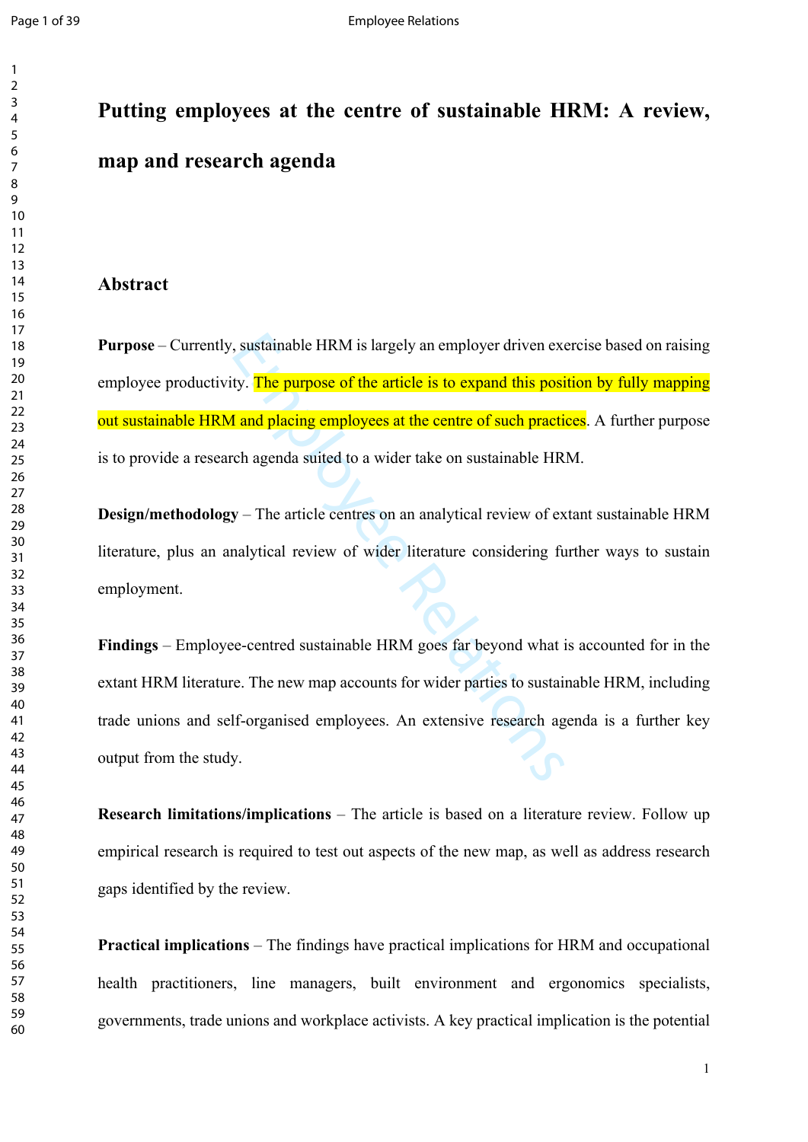$\mathbf{1}$  $\overline{2}$ 

# **Putting employees at the centre of sustainable HRM: A review, map and research agenda**

# **Abstract**

**Purpose** – Currently, sustainable HRM is largely an employer driven exercise based on raising employee productivity. The purpose of the article is to expand this position by fully mapping out sustainable HRM and placing employees at the centre of such practices. A further purpose is to provide a research agenda suited to a wider take on sustainable HRM.

**Design/methodology** – The article centres on an analytical review of extant sustainable HRM literature, plus an analytical review of wider literature considering further ways to sustain employment.

sustainable HRM is largely an employer driven exerty.<br>
The purpose of the article is to expand this posity.<br>
I and placing employees at the centre of such practicle<br>
ch agenda suited to a wider take on sustainable HR<br>
y – **Findings** – Employee-centred sustainable HRM goes far beyond what is accounted for in the extant HRM literature. The new map accounts for wider parties to sustainable HRM, including trade unions and self-organised employees. An extensive research agenda is a further key output from the study.

**Research limitations/implications** – The article is based on a literature review. Follow up empirical research is required to test out aspects of the new map, as well as address research gaps identified by the review.

**Practical implications** – The findings have practical implications for HRM and occupational health practitioners, line managers, built environment and ergonomics specialists, governments, trade unions and workplace activists. A key practical implication is the potential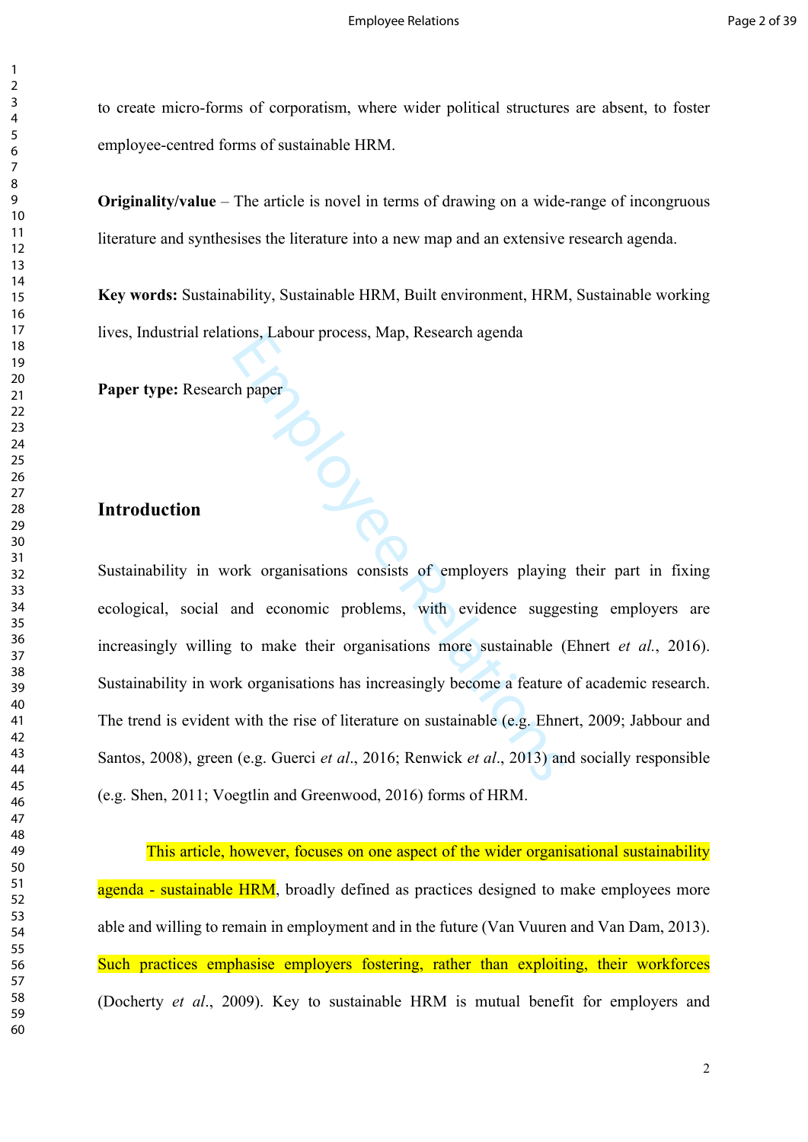to create micro-forms of corporatism, where wider political structures are absent, to foster employee-centred forms of sustainable HRM.

**Originality/value** – The article is novel in terms of drawing on a wide-range of incongruous literature and synthesises the literature into a new map and an extensive research agenda.

**Key words:** Sustainability, Sustainable HRM, Built environment, HRM, Sustainable working lives, Industrial relations, Labour process, Map, Research agenda

**Paper type:** Research paper

# **Introduction**

Figure 2.1 and the process, wap, Research agental<br>
the paper<br>
Surface Relations consists of employers playing<br>
and economic problems, with evidence sugge<br>
to make their organisations more sustainable (<br>
ck organisations h Sustainability in work organisations consists of employers playing their part in fixing ecological, social and economic problems, with evidence suggesting employers are increasingly willing to make their organisations more sustainable (Ehnert *et al.*, 2016). Sustainability in work organisations has increasingly become a feature of academic research. The trend is evident with the rise of literature on sustainable (e.g. Ehnert, 2009; Jabbour and Santos, 2008), green (e.g. Guerci *et al*., 2016; Renwick *et al*., 2013) and socially responsible (e.g. Shen, 2011; Voegtlin and Greenwood, 2016) forms of HRM.

This article, however, focuses on one aspect of the wider organisational sustainability agenda - sustainable HRM, broadly defined as practices designed to make employees more able and willing to remain in employment and in the future (Van Vuuren and Van Dam, 2013). Such practices emphasise employers fostering, rather than exploiting, their workforces (Docherty *et al*., 2009). Key to sustainable HRM is mutual benefit for employers and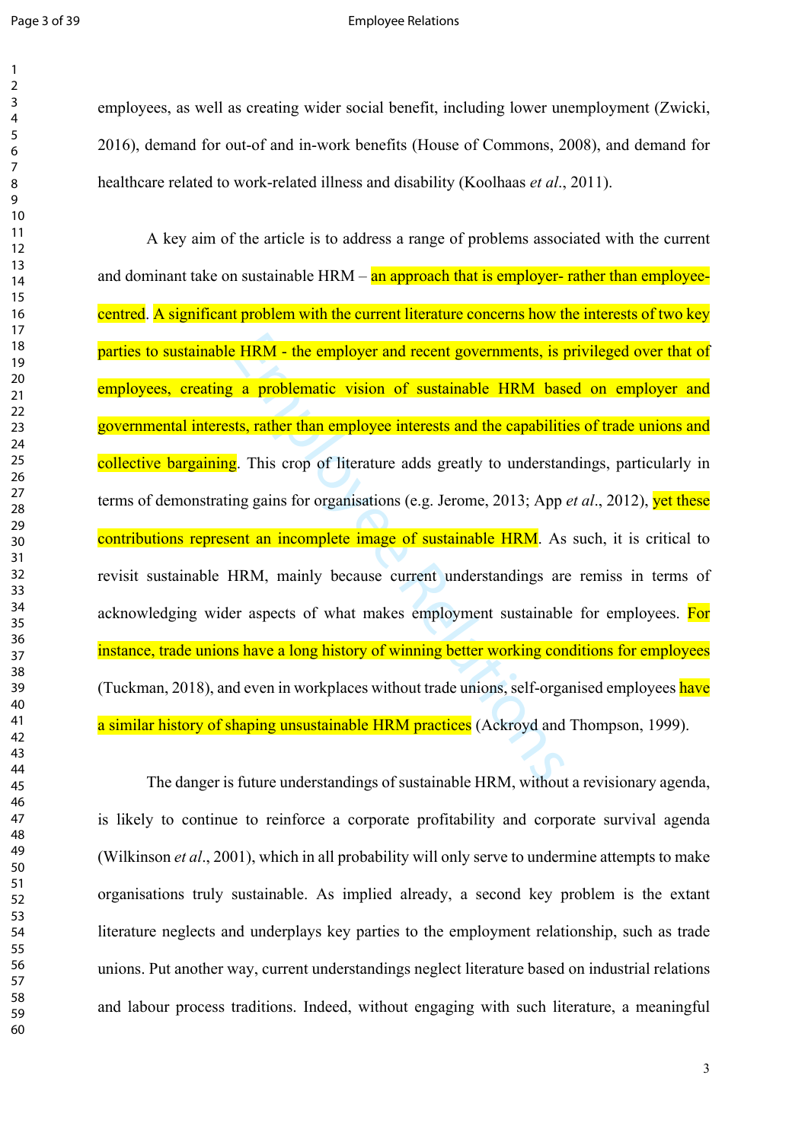#### Page 3 of 39 **Employee Relations**

employees, as well as creating wider social benefit, including lower unemployment (Zwicki, 2016), demand for out-of and in-work benefits (House of Commons, 2008), and demand for healthcare related to work-related illness and disability (Koolhaas *et al*., 2011).

EMPLET THE EMPLOYER THE EMPLOYER THE ENDIFFERIS AND THE EMPLOYER THE STAND ASSES, rather than employee interests and the capabilitists, rather than employee interests and the capabilitists, rather than employee interests a A key aim of the article is to address a range of problems associated with the current and dominant take on sustainable  $HRM - an$  approach that is employer- rather than employeecentred. A significant problem with the current literature concerns how the interests of two key parties to sustainable HRM - the employer and recent governments, is privileged over that of employees, creating a problematic vision of sustainable HRM based on employer and governmental interests, rather than employee interests and the capabilities of trade unions and collective bargaining. This crop of literature adds greatly to understandings, particularly in terms of demonstrating gains for organisations (e.g. Jerome, 2013; App *et al*., 2012), yet these contributions represent an incomplete image of sustainable HRM. As such, it is critical to revisit sustainable HRM, mainly because current understandings are remiss in terms of acknowledging wider aspects of what makes employment sustainable for employees. For instance, trade unions have a long history of winning better working conditions for employees (Tuckman, 2018), and even in workplaces without trade unions, self-organised employees have a similar history of shaping unsustainable HRM practices (Ackroyd and Thompson, 1999).

The danger is future understandings of sustainable HRM, without a revisionary agenda, is likely to continue to reinforce a corporate profitability and corporate survival agenda (Wilkinson *et al*., 2001), which in all probability will only serve to undermine attempts to make organisations truly sustainable. As implied already, a second key problem is the extant literature neglects and underplays key parties to the employment relationship, such as trade unions. Put another way, current understandings neglect literature based on industrial relations and labour process traditions. Indeed, without engaging with such literature, a meaningful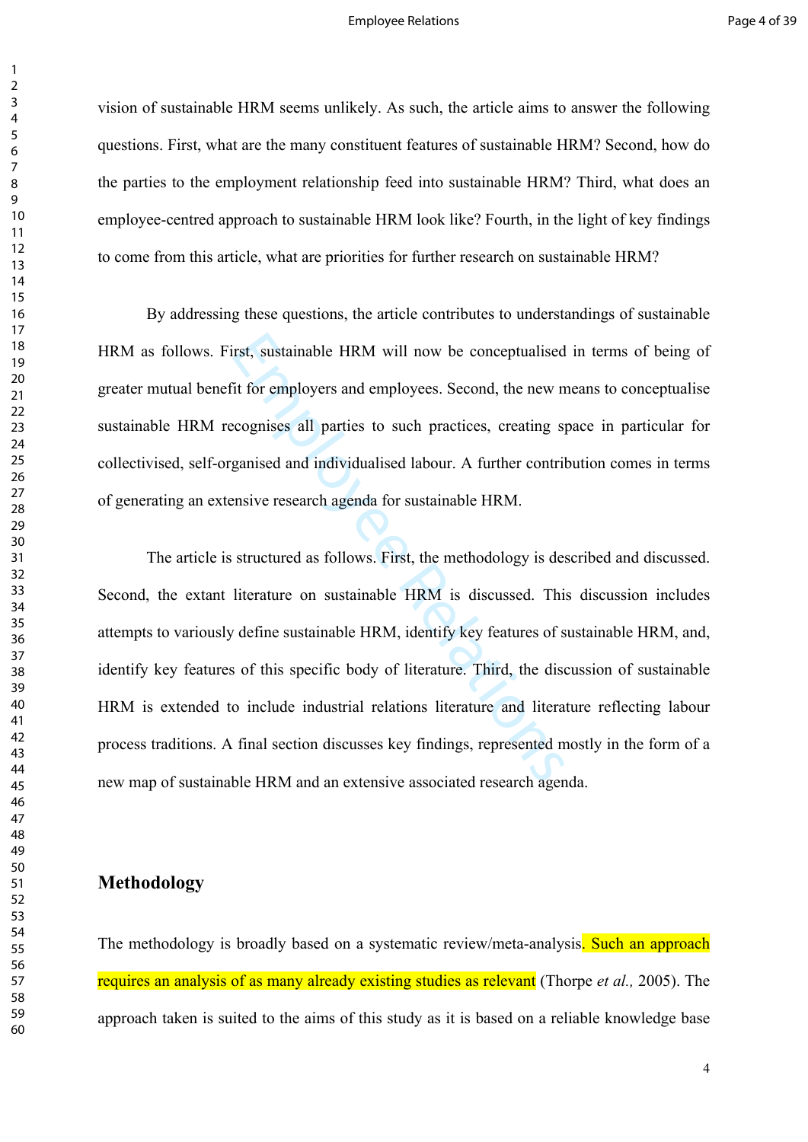vision of sustainable HRM seems unlikely. As such, the article aims to answer the following questions. First, what are the many constituent features of sustainable HRM? Second, how do the parties to the employment relationship feed into sustainable HRM? Third, what does an employee-centred approach to sustainable HRM look like? Fourth, in the light of key findings to come from this article, what are priorities for further research on sustainable HRM?

By addressing these questions, the article contributes to understandings of sustainable HRM as follows. First, sustainable HRM will now be conceptualised in terms of being of greater mutual benefit for employers and employees. Second, the new means to conceptualise sustainable HRM recognises all parties to such practices, creating space in particular for collectivised, self-organised and individualised labour. A further contribution comes in terms of generating an extensive research agenda for sustainable HRM.

rst, sustainable HRM will now be conceptualised<br>it for employers and employees. Second, the new n<br>cognises all parties to such practices, creating s<br>ganised and individualised labour. A further contril<br>msive research agend The article is structured as follows. First, the methodology is described and discussed. Second, the extant literature on sustainable HRM is discussed. This discussion includes attempts to variously define sustainable HRM, identify key features of sustainable HRM, and, identify key features of this specific body of literature. Third, the discussion of sustainable HRM is extended to include industrial relations literature and literature reflecting labour process traditions. A final section discusses key findings, represented mostly in the form of a new map of sustainable HRM and an extensive associated research agenda.

## **Methodology**

The methodology is broadly based on a systematic review/meta-analysis. Such an approach requires an analysis of as many already existing studies as relevant (Thorpe *et al.,* 2005). The approach taken is suited to the aims of this study as it is based on a reliable knowledge base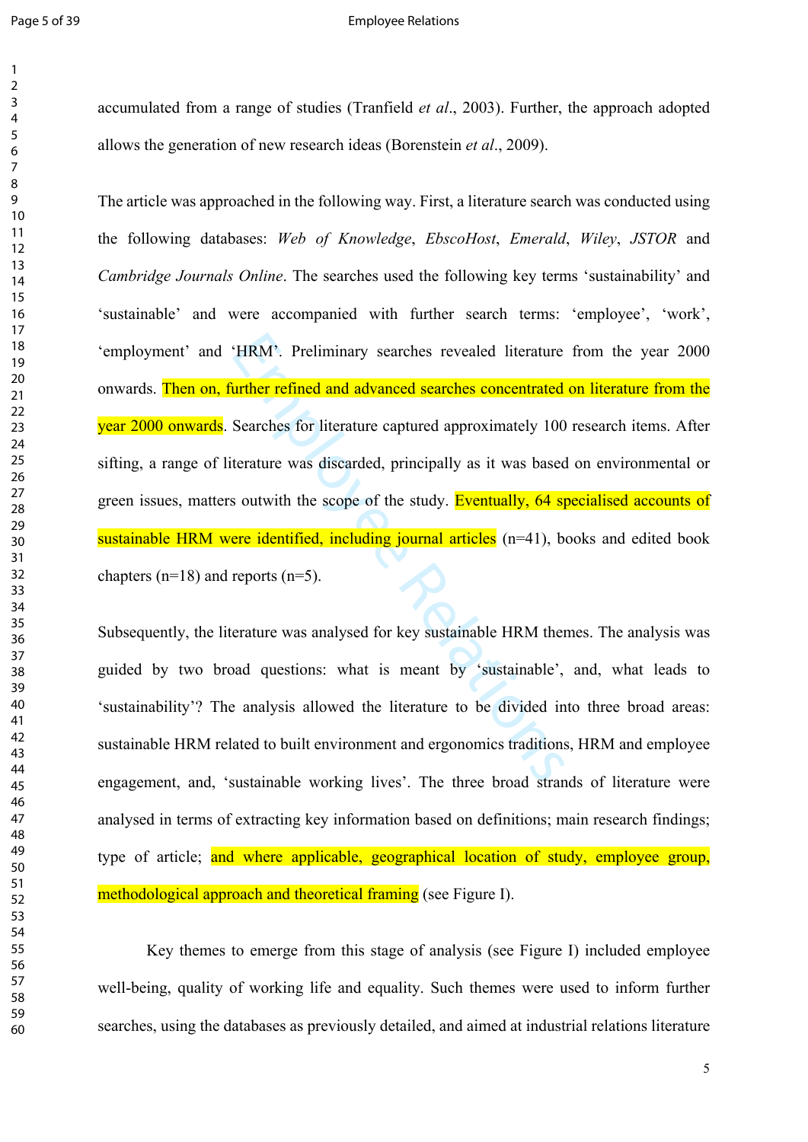#### Page 5 of 39 **Employee Relations**

accumulated from a range of studies (Tranfield *et al*., 2003). Further, the approach adopted allows the generation of new research ideas (Borenstein *et al*., 2009).

"HRM". Preliminary searches revealed literature<br>
urther refined and advanced searches concentrated<br>
Searches for literature captured approximately 100<br>
terature was discarded, principally as it was based<br>
soutwith the sco The article was approached in the following way. First, a literature search was conducted using the following databases: *Web of Knowledge*, *EbscoHost*, *Emerald*, *Wiley*, *JSTOR* and *Cambridge Journals Online*. The searches used the following key terms 'sustainability' and 'sustainable' and were accompanied with further search terms: 'employee', 'work', 'employment' and 'HRM'. Preliminary searches revealed literature from the year 2000 onwards. Then on, further refined and advanced searches concentrated on literature from the year 2000 onwards. Searches for literature captured approximately 100 research items. After sifting, a range of literature was discarded, principally as it was based on environmental or green issues, matters outwith the scope of the study. Eventually, 64 specialised accounts of sustainable HRM were identified, including journal articles (n=41), books and edited book chapters (n=18) and reports (n=5).

Subsequently, the literature was analysed for key sustainable HRM themes. The analysis was guided by two broad questions: what is meant by 'sustainable', and, what leads to 'sustainability'? The analysis allowed the literature to be divided into three broad areas: sustainable HRM related to built environment and ergonomics traditions, HRM and employee engagement, and, 'sustainable working lives'. The three broad strands of literature were analysed in terms of extracting key information based on definitions; main research findings; type of article; and where applicable, geographical location of study, employee group, methodological approach and theoretical framing (see Figure I).

Key themes to emerge from this stage of analysis (see Figure I) included employee well-being, quality of working life and equality. Such themes were used to inform further searches, using the databases as previously detailed, and aimed at industrial relations literature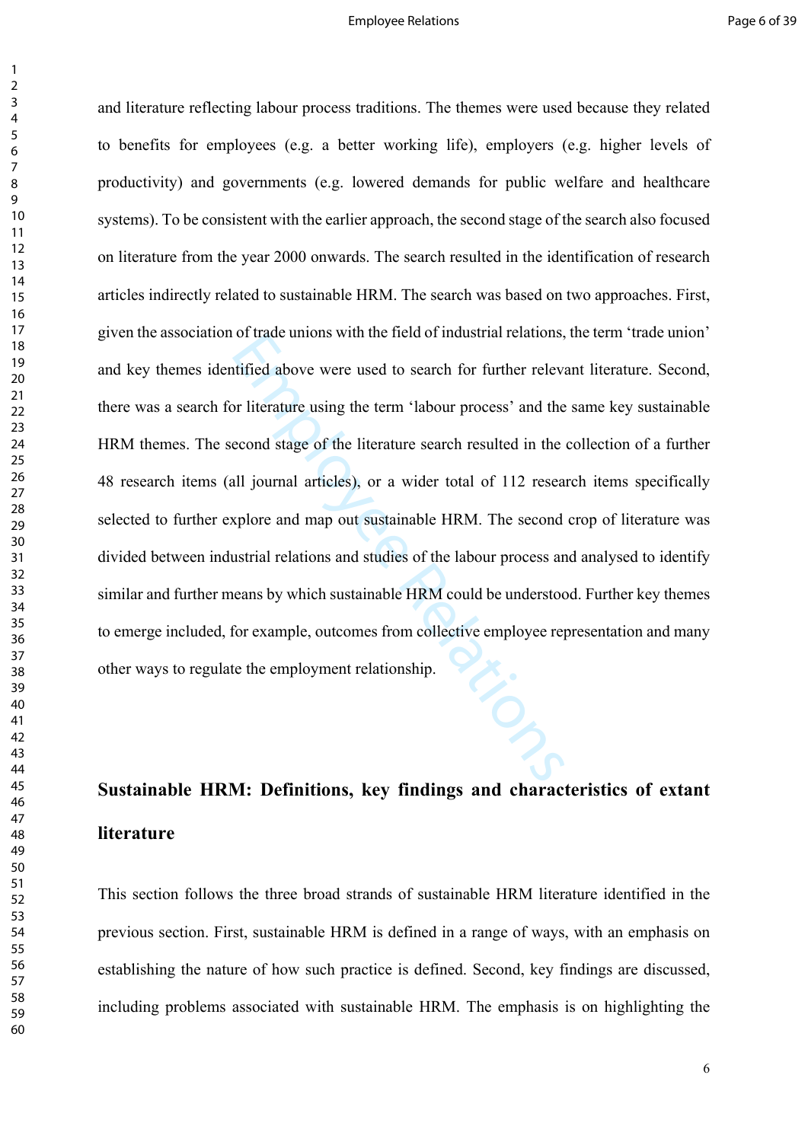#### Employee Relations **Page 6 of 39**

 $\mathbf{1}$ 

or trade unions with the field of mustafial relations,<br>tiffied above were used to search for further relevant<br>probability or literature using the term 'labour process' and the<br>econd stage of the literature search resulted and literature reflecting labour process traditions. The themes were used because they related to benefits for employees (e.g. a better working life), employers (e.g. higher levels of productivity) and governments (e.g. lowered demands for public welfare and healthcare systems). To be consistent with the earlier approach, the second stage of the search also focused on literature from the year 2000 onwards. The search resulted in the identification of research articles indirectly related to sustainable HRM. The search was based on two approaches. First, given the association of trade unions with the field of industrial relations, the term 'trade union' and key themes identified above were used to search for further relevant literature. Second, there was a search for literature using the term 'labour process' and the same key sustainable HRM themes. The second stage of the literature search resulted in the collection of a further 48 research items (all journal articles), or a wider total of 112 research items specifically selected to further explore and map out sustainable HRM. The second crop of literature was divided between industrial relations and studies of the labour process and analysed to identify similar and further means by which sustainable HRM could be understood. Further key themes to emerge included, for example, outcomes from collective employee representation and many other ways to regulate the employment relationship.

# **Sustainable HRM: Definitions, key findings and characteristics of extant literature**

This section follows the three broad strands of sustainable HRM literature identified in the previous section. First, sustainable HRM is defined in a range of ways, with an emphasis on establishing the nature of how such practice is defined. Second, key findings are discussed, including problems associated with sustainable HRM. The emphasis is on highlighting the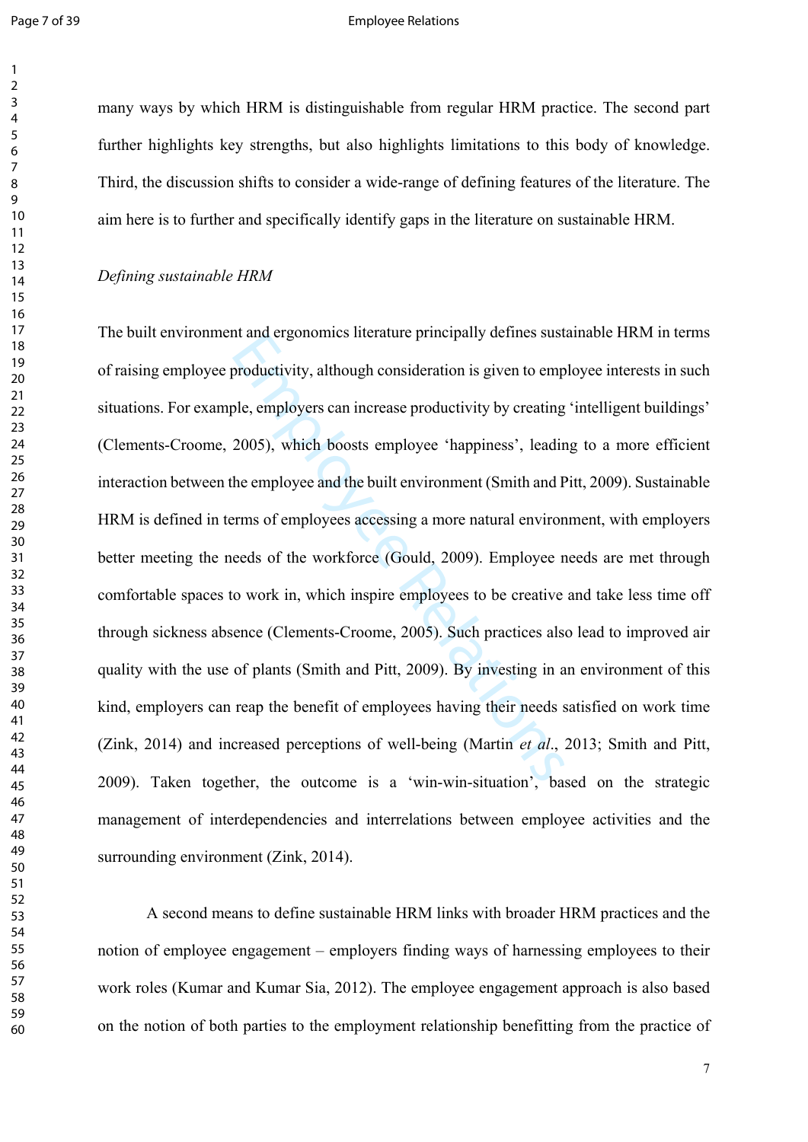#### Page 7 of 39 **Employee Relations**

many ways by which HRM is distinguishable from regular HRM practice. The second part further highlights key strengths, but also highlights limitations to this body of knowledge. Third, the discussion shifts to consider a wide-range of defining features of the literature. The aim here is to further and specifically identify gaps in the literature on sustainable HRM.

## *Defining sustainable HRM*

In and eigonomics incrature pinicipally denies sust<br>productivity, although consideration is given to employee, employers can increase productivity by creating<br>2005), which boosts employee 'happiness', leadir<br>he employee a The built environment and ergonomics literature principally defines sustainable HRM in terms of raising employee productivity, although consideration is given to employee interests in such situations. For example, employers can increase productivity by creating 'intelligent buildings' (Clements-Croome, 2005), which boosts employee 'happiness', leading to a more efficient interaction between the employee and the built environment (Smith and Pitt, 2009). Sustainable HRM is defined in terms of employees accessing a more natural environment, with employers better meeting the needs of the workforce (Gould, 2009). Employee needs are met through comfortable spaces to work in, which inspire employees to be creative and take less time off through sickness absence (Clements-Croome, 2005). Such practices also lead to improved air quality with the use of plants (Smith and Pitt, 2009). By investing in an environment of this kind, employers can reap the benefit of employees having their needs satisfied on work time (Zink, 2014) and increased perceptions of well-being (Martin *et al*., 2013; Smith and Pitt, 2009). Taken together, the outcome is a 'win-win-situation', based on the strategic management of interdependencies and interrelations between employee activities and the surrounding environment (Zink, 2014).

A second means to define sustainable HRM links with broader HRM practices and the notion of employee engagement – employers finding ways of harnessing employees to their work roles (Kumar and Kumar Sia, 2012). The employee engagement approach is also based on the notion of both parties to the employment relationship benefitting from the practice of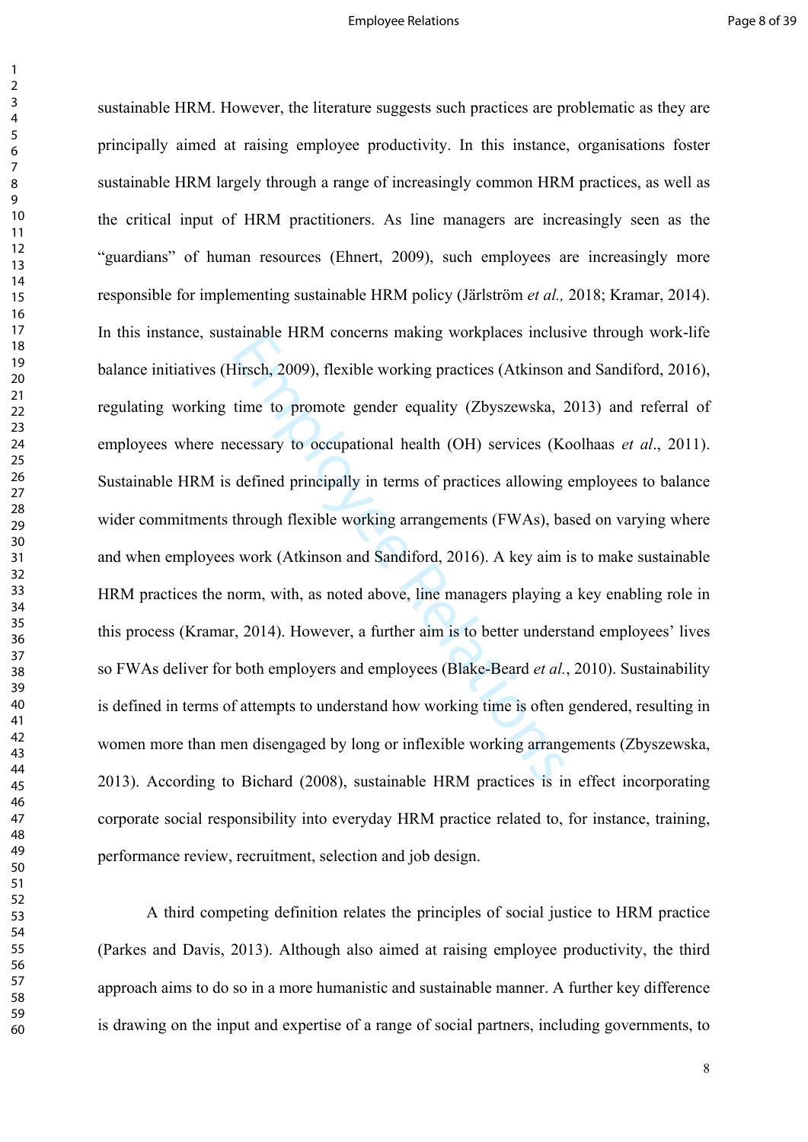#### Employee Relations **Page 8 of 39**

 $\mathbf{1}$ 

dination HKM collectils making workplaces inclusting<br>dirsch, 2009), flexible working practices (Atkinson<br>time to promote gender equality (Zbyszewska, 2<br>ceessary to occupational health (OH) services (K<br>defined principally sustainable HRM. However, the literature suggests such practices are problematic as they are principally aimed at raising employee productivity. In this instance, organisations foster sustainable HRM largely through a range of increasingly common HRM practices, as well as the critical input of HRM practitioners. As line managers are increasingly seen as the "guardians" of human resources (Ehnert, 2009), such employees are increasingly more responsible for implementing sustainable HRM policy (Järlström *et al.,* 2018; Kramar, 2014). In this instance, sustainable HRM concerns making workplaces inclusive through work-life balance initiatives (Hirsch, 2009), flexible working practices (Atkinson and Sandiford, 2016), regulating working time to promote gender equality (Zbyszewska, 2013) and referral of employees where necessary to occupational health (OH) services (Koolhaas *et al*., 2011). Sustainable HRM is defined principally in terms of practices allowing employees to balance wider commitments through flexible working arrangements (FWAs), based on varying where and when employees work (Atkinson and Sandiford, 2016). A key aim is to make sustainable HRM practices the norm, with, as noted above, line managers playing a key enabling role in this process (Kramar, 2014). However, a further aim is to better understand employees' lives so FWAs deliver for both employers and employees (Blake-Beard *et al.*, 2010). Sustainability is defined in terms of attempts to understand how working time is often gendered, resulting in women more than men disengaged by long or inflexible working arrangements (Zbyszewska, 2013). According to Bichard (2008), sustainable HRM practices is in effect incorporating corporate social responsibility into everyday HRM practice related to, for instance, training, performance review, recruitment, selection and job design.

A third competing definition relates the principles of social justice to HRM practice (Parkes and Davis, 2013). Although also aimed at raising employee productivity, the third approach aims to do so in a more humanistic and sustainable manner. A further key difference is drawing on the input and expertise of a range of social partners, including governments, to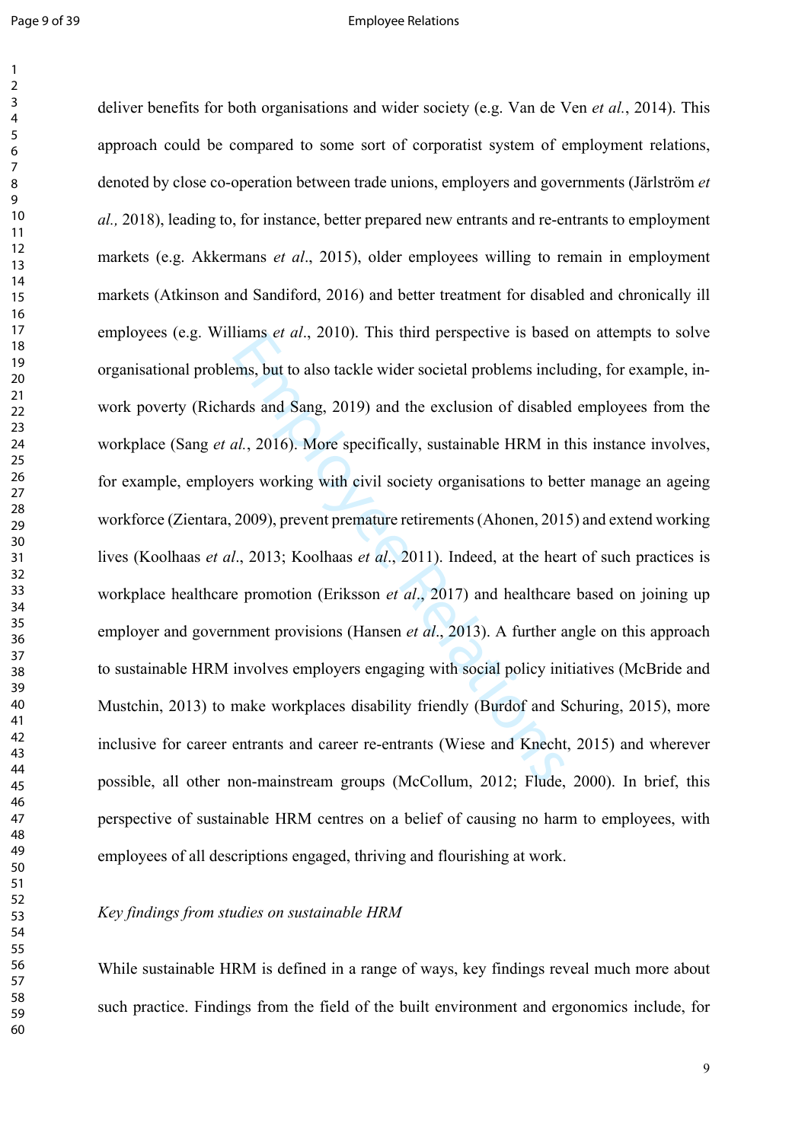#### Page 9 of 39 **Employee Relations**

trains *et at.*, 2010). This time perspective is based ems, but to also tackle wider societal problems included and Sang, 2019) and the exclusion of disable and and Sang, 2019) and the exclusion of disable and and Sang, 2 deliver benefits for both organisations and wider society (e.g. Van de Ven *et al.*, 2014). This approach could be compared to some sort of corporatist system of employment relations, denoted by close co-operation between trade unions, employers and governments (Järlström *et al.,* 2018), leading to, for instance, better prepared new entrants and re-entrants to employment markets (e.g. Akkermans *et al*., 2015), older employees willing to remain in employment markets (Atkinson and Sandiford, 2016) and better treatment for disabled and chronically ill employees (e.g. Williams *et al*., 2010). This third perspective is based on attempts to solve organisational problems, but to also tackle wider societal problems including, for example, inwork poverty (Richards and Sang, 2019) and the exclusion of disabled employees from the workplace (Sang *et al.*, 2016). More specifically, sustainable HRM in this instance involves, for example, employers working with civil society organisations to better manage an ageing workforce (Zientara, 2009), prevent premature retirements (Ahonen, 2015) and extend working lives (Koolhaas *et al*., 2013; Koolhaas *et al*., 2011). Indeed, at the heart of such practices is workplace healthcare promotion (Eriksson *et al*., 2017) and healthcare based on joining up employer and government provisions (Hansen *et al*., 2013). A further angle on this approach to sustainable HRM involves employers engaging with social policy initiatives (McBride and Mustchin, 2013) to make workplaces disability friendly (Burdof and Schuring, 2015), more inclusive for career entrants and career re-entrants (Wiese and Knecht, 2015) and wherever possible, all other non-mainstream groups (McCollum, 2012; Flude, 2000). In brief, this perspective of sustainable HRM centres on a belief of causing no harm to employees, with employees of all descriptions engaged, thriving and flourishing at work.

## *Key findings from studies on sustainable HRM*

While sustainable HRM is defined in a range of ways, key findings reveal much more about such practice. Findings from the field of the built environment and ergonomics include, for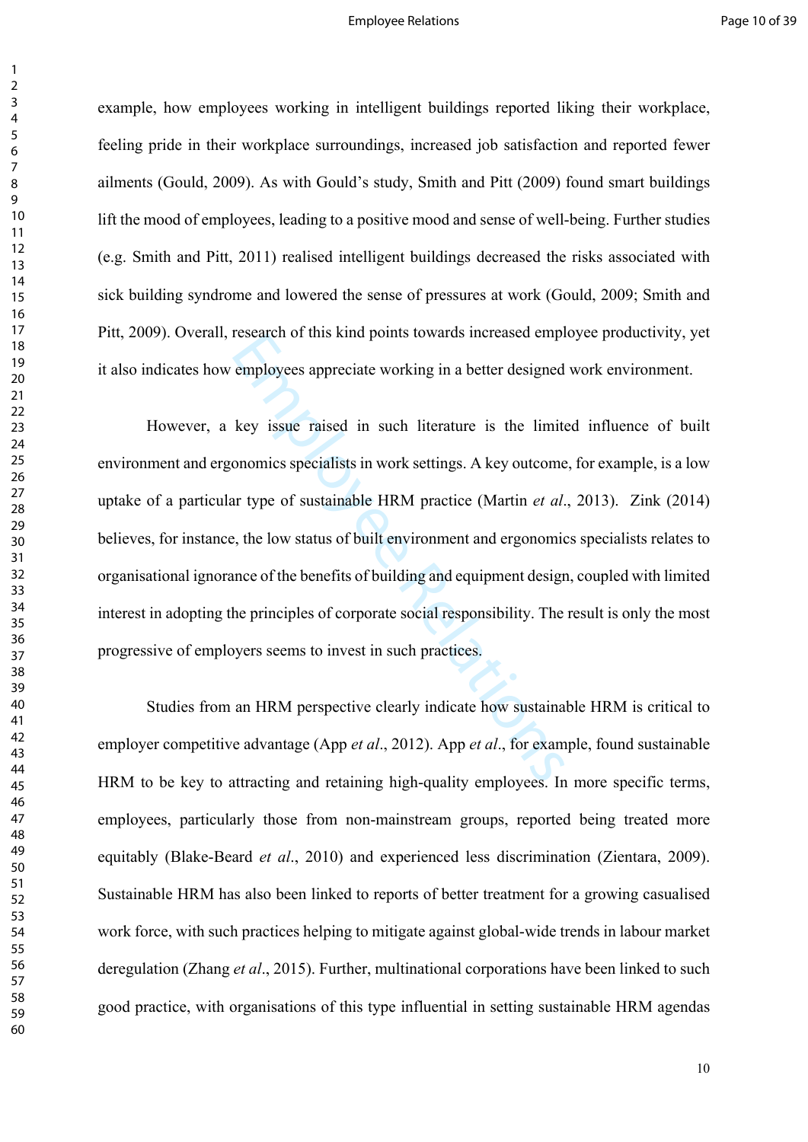#### Employee Relations **Page 10 of 39**

example, how employees working in intelligent buildings reported liking their workplace, feeling pride in their workplace surroundings, increased job satisfaction and reported fewer ailments (Gould, 2009). As with Gould's study, Smith and Pitt (2009) found smart buildings lift the mood of employees, leading to a positive mood and sense of well-being. Further studies (e.g. Smith and Pitt, 2011) realised intelligent buildings decreased the risks associated with sick building syndrome and lowered the sense of pressures at work (Gould, 2009; Smith and Pitt, 2009). Overall, research of this kind points towards increased employee productivity, yet it also indicates how employees appreciate working in a better designed work environment.

Exercise to this kind points towards increased empiricantly<br>employees appreciate working in a better designed<br>key issue raised in such literature is the limit<br>onomics specialists in work settings. A key outcome<br>ar type of However, a key issue raised in such literature is the limited influence of built environment and ergonomics specialists in work settings. A key outcome, for example, is a low uptake of a particular type of sustainable HRM practice (Martin *et al*., 2013). Zink (2014) believes, for instance, the low status of built environment and ergonomics specialists relates to organisational ignorance of the benefits of building and equipment design, coupled with limited interest in adopting the principles of corporate social responsibility. The result is only the most progressive of employers seems to invest in such practices.

Studies from an HRM perspective clearly indicate how sustainable HRM is critical to employer competitive advantage (App *et al*., 2012). App *et al*., for example, found sustainable HRM to be key to attracting and retaining high-quality employees. In more specific terms, employees, particularly those from non-mainstream groups, reported being treated more equitably (Blake-Beard *et al*., 2010) and experienced less discrimination (Zientara, 2009). Sustainable HRM has also been linked to reports of better treatment for a growing casualised work force, with such practices helping to mitigate against global-wide trends in labour market deregulation (Zhang *et al*., 2015). Further, multinational corporations have been linked to such good practice, with organisations of this type influential in setting sustainable HRM agendas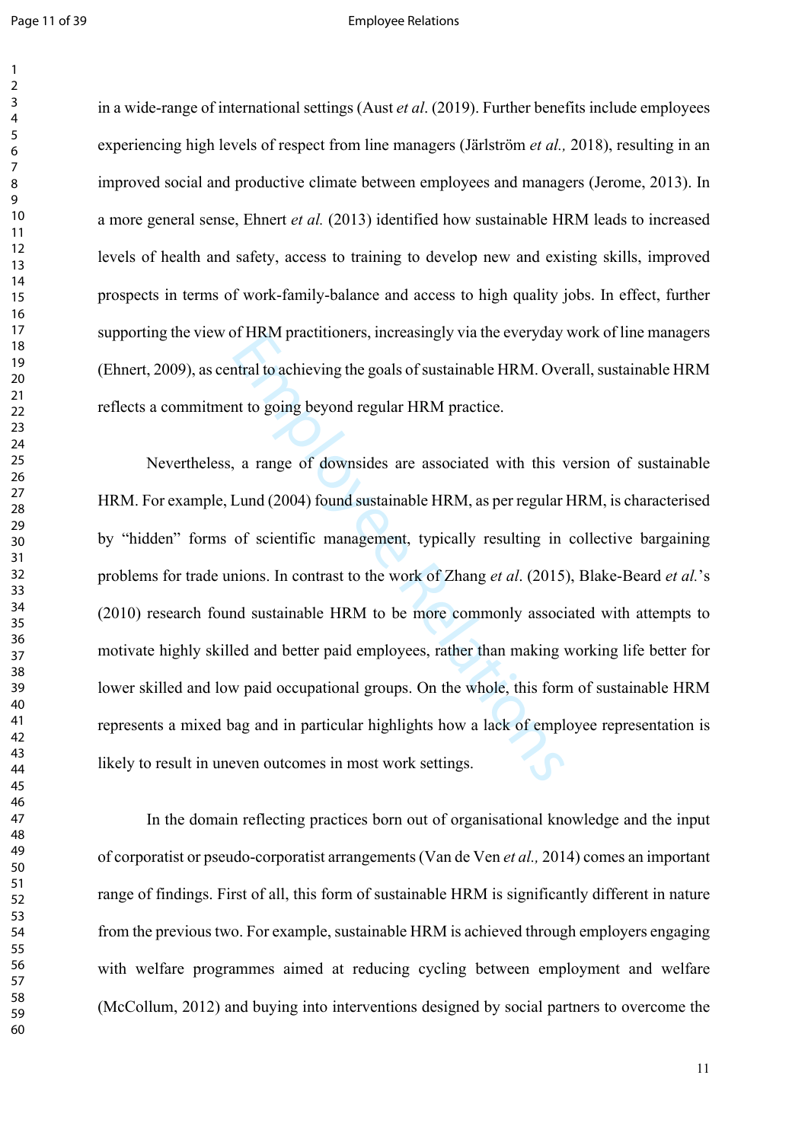#### Page 11 of 39 **Employee Relations**

in a wide-range of international settings (Aust *et al*. (2019). Further benefits include employees experiencing high levels of respect from line managers (Järlström *et al.,* 2018), resulting in an improved social and productive climate between employees and managers (Jerome, 2013). In a more general sense, Ehnert *et al.* (2013) identified how sustainable HRM leads to increased levels of health and safety, access to training to develop new and existing skills, improved prospects in terms of work-family-balance and access to high quality jobs. In effect, further supporting the view of HRM practitioners, increasingly via the everyday work of line managers (Ehnert, 2009), as central to achieving the goals of sustainable HRM. Overall, sustainable HRM reflects a commitment to going beyond regular HRM practice.

Employeer and in particular highlights how a lack of employees and in particular parameters, a range of downsides are associated with this v<br>Lund (2004) found sustainable HRM, as per regular<br>of scientific management, typic Nevertheless, a range of downsides are associated with this version of sustainable HRM. For example, Lund (2004) found sustainable HRM, as per regular HRM, is characterised by "hidden" forms of scientific management, typically resulting in collective bargaining problems for trade unions. In contrast to the work of Zhang *et al*. (2015), Blake-Beard *et al.*'s (2010) research found sustainable HRM to be more commonly associated with attempts to motivate highly skilled and better paid employees, rather than making working life better for lower skilled and low paid occupational groups. On the whole, this form of sustainable HRM represents a mixed bag and in particular highlights how a lack of employee representation is likely to result in uneven outcomes in most work settings.

In the domain reflecting practices born out of organisational knowledge and the input of corporatist or pseudo-corporatist arrangements (Van de Ven *et al.,* 2014) comes an important range of findings. First of all, this form of sustainable HRM is significantly different in nature from the previous two. For example, sustainable HRM is achieved through employers engaging with welfare programmes aimed at reducing cycling between employment and welfare (McCollum, 2012) and buying into interventions designed by social partners to overcome the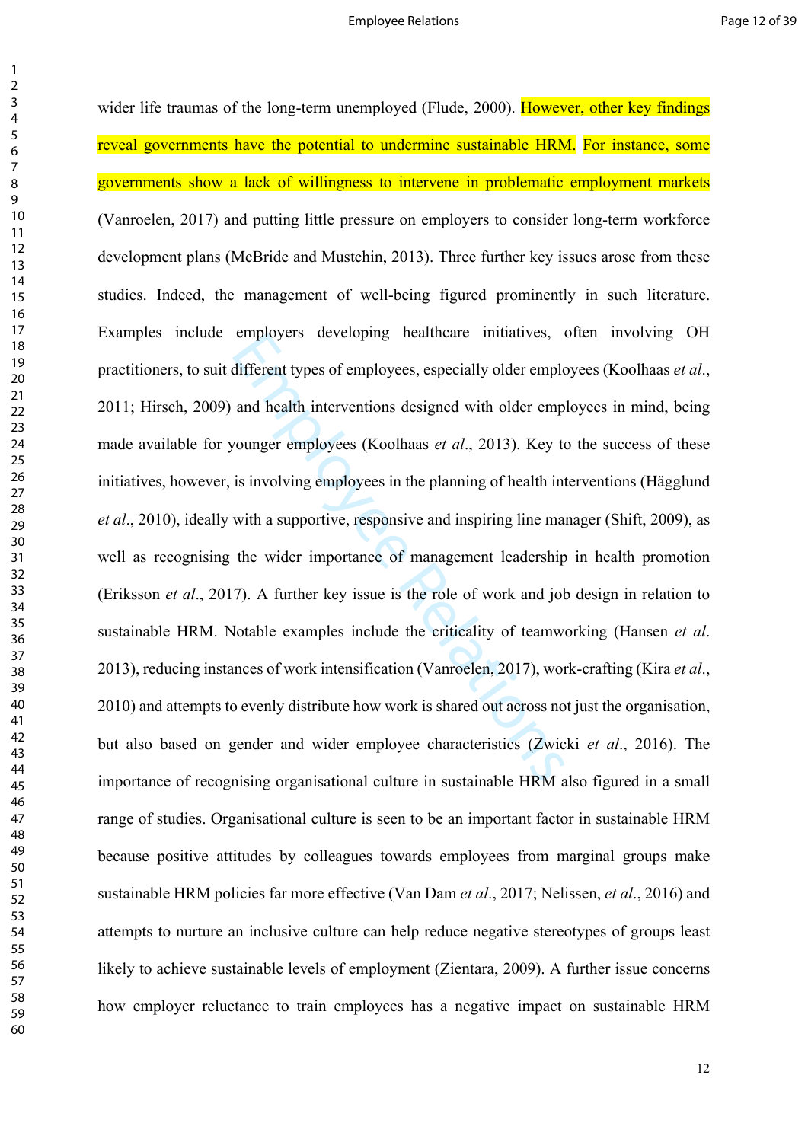$\mathbf{1}$ 

employers developing heatlicate initiatives, different types of employees, especially older emplo<br>and health interventions designed with older employeer employees (Koolhaas *et al.*, 2013). Key to<br>is involving employees i wider life traumas of the long-term unemployed (Flude, 2000). However, other key findings reveal governments have the potential to undermine sustainable HRM. For instance, some governments show a lack of willingness to intervene in problematic employment markets (Vanroelen, 2017) and putting little pressure on employers to consider long-term workforce development plans (McBride and Mustchin, 2013). Three further key issues arose from these studies. Indeed, the management of well-being figured prominently in such literature. Examples include employers developing healthcare initiatives, often involving OH practitioners, to suit different types of employees, especially older employees (Koolhaas *et al*., 2011; Hirsch, 2009) and health interventions designed with older employees in mind, being made available for younger employees (Koolhaas *et al*., 2013). Key to the success of these initiatives, however, is involving employees in the planning of health interventions (Hägglund *et al*., 2010), ideally with a supportive, responsive and inspiring line manager (Shift, 2009), as well as recognising the wider importance of management leadership in health promotion (Eriksson *et al*., 2017). A further key issue is the role of work and job design in relation to sustainable HRM. Notable examples include the criticality of teamworking (Hansen *et al*. 2013), reducing instances of work intensification (Vanroelen, 2017), work-crafting (Kira *et al*., 2010) and attempts to evenly distribute how work is shared out across not just the organisation, but also based on gender and wider employee characteristics (Zwicki *et al*., 2016). The importance of recognising organisational culture in sustainable HRM also figured in a small range of studies. Organisational culture is seen to be an important factor in sustainable HRM because positive attitudes by colleagues towards employees from marginal groups make sustainable HRM policies far more effective (Van Dam *et al*., 2017; Nelissen, *et al*., 2016) and attempts to nurture an inclusive culture can help reduce negative stereotypes of groups least likely to achieve sustainable levels of employment (Zientara, 2009). A further issue concerns how employer reluctance to train employees has a negative impact on sustainable HRM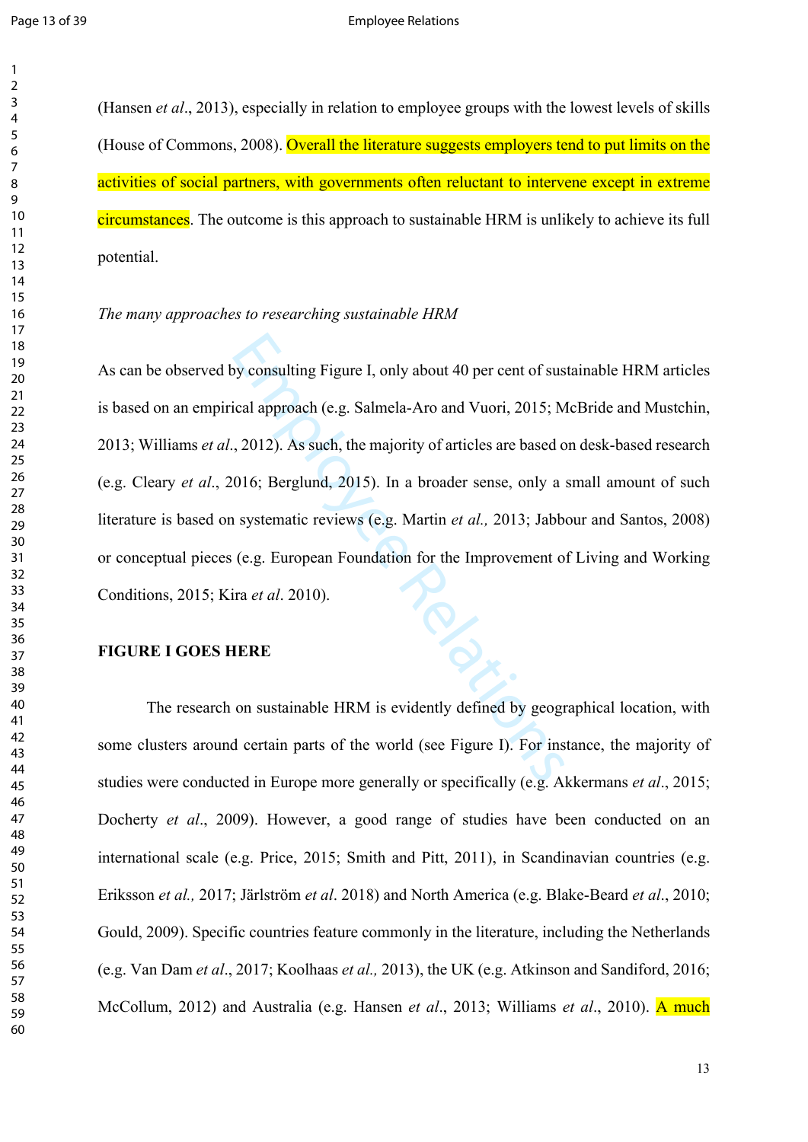(Hansen *et al*., 2013), especially in relation to employee groups with the lowest levels of skills (House of Commons, 2008). Overall the literature suggests employers tend to put limits on the activities of social partners, with governments often reluctant to intervene except in extreme circumstances. The outcome is this approach to sustainable HRM is unlikely to achieve its full potential.

### *The many approaches to researching sustainable HRM*

by consulting Figure I, only about 40 per cent of sus<br>
ical approach (e.g. Salmela-Aro and Vuori, 2015; M<br>
2012). As such, the majority of articles are based cost<br>
1016; Berglund, 2015). In a broader sense, only a<br>
11 sys As can be observed by consulting Figure I, only about 40 per cent of sustainable HRM articles is based on an empirical approach (e.g. Salmela-Aro and Vuori, 2015; McBride and Mustchin, 2013; Williams *et al*., 2012). As such, the majority of articles are based on desk-based research (e.g. Cleary *et al*., 2016; Berglund, 2015). In a broader sense, only a small amount of such literature is based on systematic reviews (e.g. Martin *et al.,* 2013; Jabbour and Santos, 2008) or conceptual pieces (e.g. European Foundation for the Improvement of Living and Working Conditions, 2015; Kira *et al*. 2010).

## **FIGURE I GOES HERE**

The research on sustainable HRM is evidently defined by geographical location, with some clusters around certain parts of the world (see Figure I). For instance, the majority of studies were conducted in Europe more generally or specifically (e.g. Akkermans *et al*., 2015; Docherty *et al*., 2009). However, a good range of studies have been conducted on an international scale (e.g. Price, 2015; Smith and Pitt, 2011), in Scandinavian countries (e.g. Eriksson *et al.,* 2017; Järlström *et al*. 2018) and North America (e.g. Blake-Beard *et al*., 2010; Gould, 2009). Specific countries feature commonly in the literature, including the Netherlands (e.g. Van Dam *et al*., 2017; Koolhaas *et al.,* 2013), the UK (e.g. Atkinson and Sandiford, 2016; McCollum, 2012) and Australia (e.g. Hansen *et al*., 2013; Williams *et al*., 2010). A much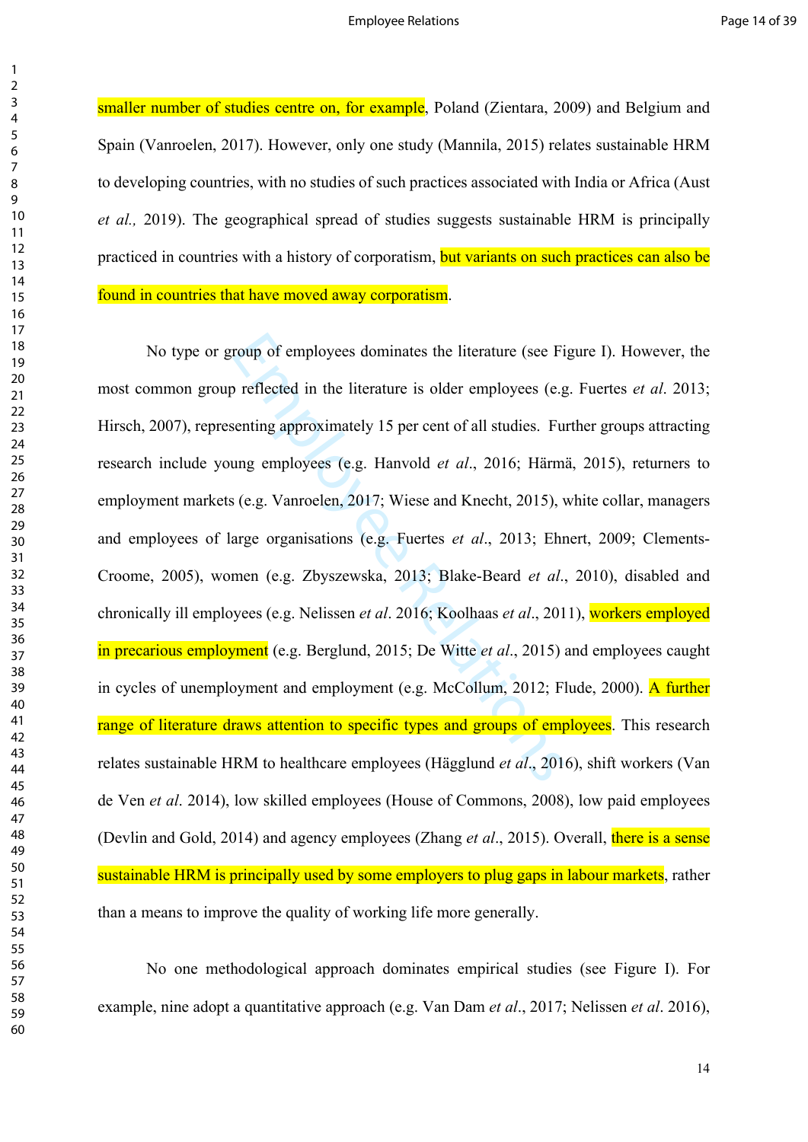$\mathbf{1}$ 

  smaller number of studies centre on, for example, Poland (Zientara, 2009) and Belgium and Spain (Vanroelen, 2017). However, only one study (Mannila, 2015) relates sustainable HRM to developing countries, with no studies of such practices associated with India or Africa (Aust *et al.,* 2019). The geographical spread of studies suggests sustainable HRM is principally practiced in countries with a history of corporatism, but variants on such practices can also be found in countries that have moved away corporatism.

roup of employees dominates the literature (see Fi<br>
b reflected in the literature is older employees (e.g<br>
senting approximately 15 per cent of all studies. Fu<br>
ung employees (e.g. Hanvold *et al.*, 2016; Härm<br>
s (e.g. Van No type or group of employees dominates the literature (see Figure I). However, the most common group reflected in the literature is older employees (e.g. Fuertes *et al*. 2013; Hirsch, 2007), representing approximately 15 per cent of all studies. Further groups attracting research include young employees (e.g. Hanvold *et al*., 2016; Härmä, 2015), returners to employment markets (e.g. Vanroelen, 2017; Wiese and Knecht, 2015), white collar, managers and employees of large organisations (e.g. Fuertes *et al*., 2013; Ehnert, 2009; Clements-Croome, 2005), women (e.g. Zbyszewska, 2013; Blake-Beard *et al*., 2010), disabled and chronically ill employees (e.g. Nelissen *et al*. 2016; Koolhaas *et al*., 2011), workers employed in precarious employment (e.g. Berglund, 2015; De Witte *et al*., 2015) and employees caught in cycles of unemployment and employment (e.g. McCollum, 2012; Flude, 2000). A further range of literature draws attention to specific types and groups of employees. This research relates sustainable HRM to healthcare employees (Hägglund *et al*., 2016), shift workers (Van de Ven *et al*. 2014), low skilled employees (House of Commons, 2008), low paid employees (Devlin and Gold, 2014) and agency employees (Zhang *et al*., 2015). Overall, there is a sense sustainable HRM is principally used by some employers to plug gaps in labour markets, rather than a means to improve the quality of working life more generally.

No one methodological approach dominates empirical studies (see Figure I). For example, nine adopt a quantitative approach (e.g. Van Dam *et al*., 2017; Nelissen *et al*. 2016),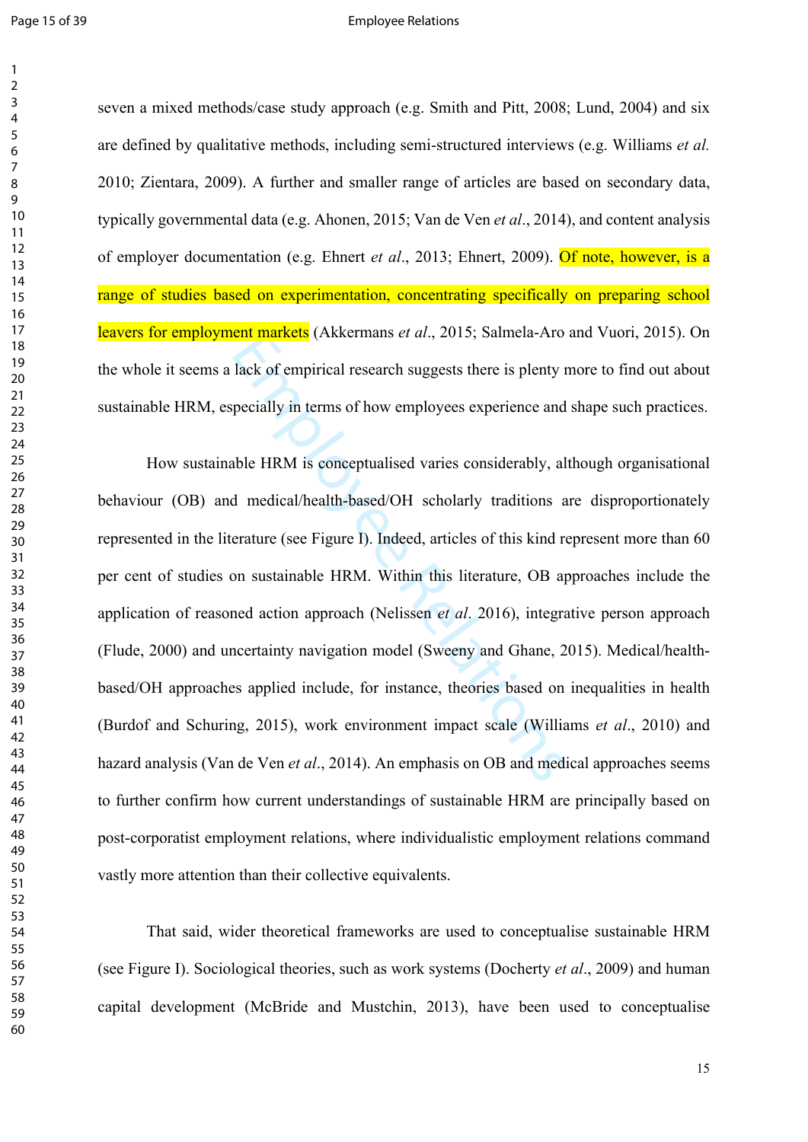#### Page 15 of 39 **Employee Relations**

seven a mixed methods/case study approach (e.g. Smith and Pitt, 2008; Lund, 2004) and six are defined by qualitative methods, including semi-structured interviews (e.g. Williams *et al.* 2010; Zientara, 2009). A further and smaller range of articles are based on secondary data, typically governmental data (e.g. Ahonen, 2015; Van de Ven *et al*., 2014), and content analysis of employer documentation (e.g. Ehnert *et al*., 2013; Ehnert, 2009). Of note, however, is a range of studies based on experimentation, concentrating specifically on preparing school leavers for employment markets (Akkermans *et al*., 2015; Salmela-Aro and Vuori, 2015). On the whole it seems a lack of empirical research suggests there is plenty more to find out about sustainable HRM, especially in terms of how employees experience and shape such practices.

Entrophanceles (AKKETINAIIS *et al.*, 2013, Sannela-ATO<br>lack of empirical research suggests there is plenty i<br>pecially in terms of how employees experience and<br>able HRM is conceptualised varies considerably, al<br>d medical/ How sustainable HRM is conceptualised varies considerably, although organisational behaviour (OB) and medical/health-based/OH scholarly traditions are disproportionately represented in the literature (see Figure I). Indeed, articles of this kind represent more than 60 per cent of studies on sustainable HRM. Within this literature, OB approaches include the application of reasoned action approach (Nelissen *et al*. 2016), integrative person approach (Flude, 2000) and uncertainty navigation model (Sweeny and Ghane, 2015). Medical/healthbased/OH approaches applied include, for instance, theories based on inequalities in health (Burdof and Schuring, 2015), work environment impact scale (Williams *et al*., 2010) and hazard analysis (Van de Ven *et al*., 2014). An emphasis on OB and medical approaches seems to further confirm how current understandings of sustainable HRM are principally based on post-corporatist employment relations, where individualistic employment relations command vastly more attention than their collective equivalents.

That said, wider theoretical frameworks are used to conceptualise sustainable HRM (see Figure I). Sociological theories, such as work systems (Docherty *et al*., 2009) and human capital development (McBride and Mustchin, 2013), have been used to conceptualise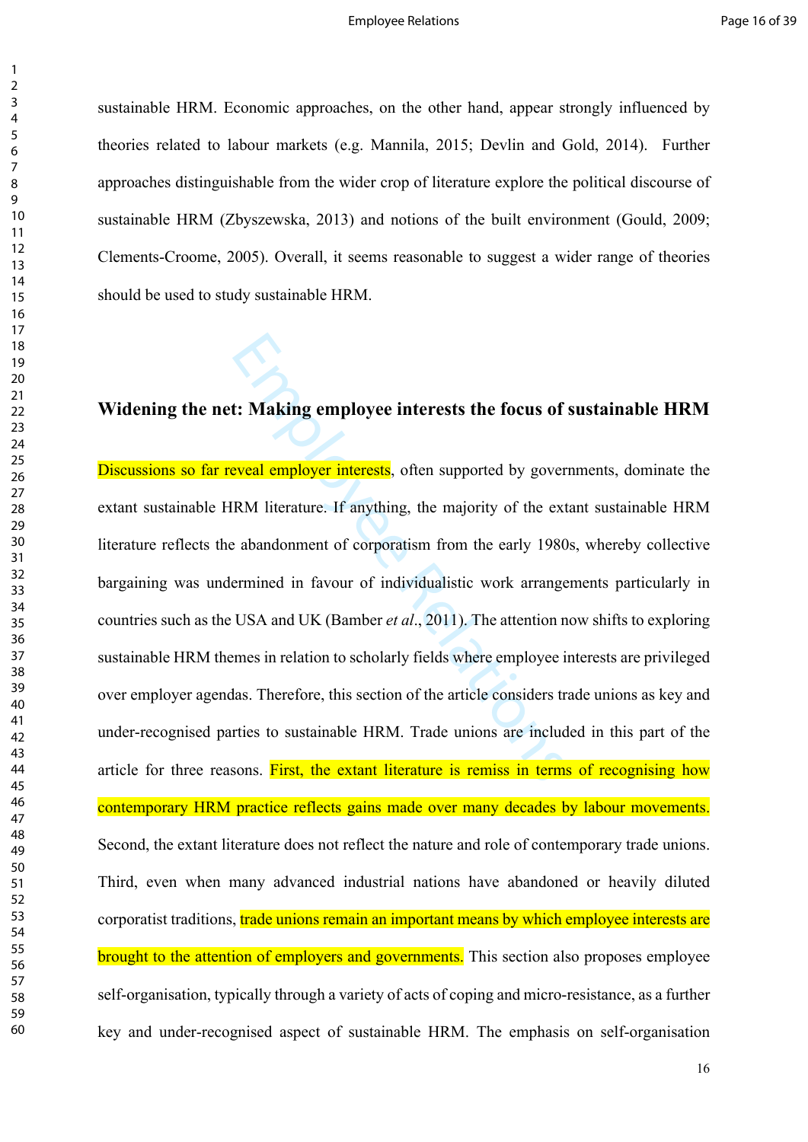sustainable HRM. Economic approaches, on the other hand, appear strongly influenced by theories related to labour markets (e.g. Mannila, 2015; Devlin and Gold, 2014). Further approaches distinguishable from the wider crop of literature explore the political discourse of sustainable HRM (Zbyszewska, 2013) and notions of the built environment (Gould, 2009; Clements-Croome, 2005). Overall, it seems reasonable to suggest a wider range of theories should be used to study sustainable HRM.

# **Widening the net: Making employee interests the focus of sustainable HRM**

**Example 1: Making employee interests the focus of**<br> **Example 1: Making employee interests**, often supported by gover<br>
RM literature. If anything, the majority of the ext<br>
abandonment of corporatism from the early 1980<br> Discussions so far reveal employer interests, often supported by governments, dominate the extant sustainable HRM literature. If anything, the majority of the extant sustainable HRM literature reflects the abandonment of corporatism from the early 1980s, whereby collective bargaining was undermined in favour of individualistic work arrangements particularly in countries such as the USA and UK (Bamber *et al*., 2011). The attention now shifts to exploring sustainable HRM themes in relation to scholarly fields where employee interests are privileged over employer agendas. Therefore, this section of the article considers trade unions as key and under-recognised parties to sustainable HRM. Trade unions are included in this part of the article for three reasons. First, the extant literature is remiss in terms of recognising how contemporary HRM practice reflects gains made over many decades by labour movements. Second, the extant literature does not reflect the nature and role of contemporary trade unions. Third, even when many advanced industrial nations have abandoned or heavily diluted corporatist traditions, trade unions remain an important means by which employee interests are brought to the attention of employers and governments. This section also proposes employee self-organisation, typically through a variety of acts of coping and micro-resistance, as a further key and under-recognised aspect of sustainable HRM. The emphasis on self-organisation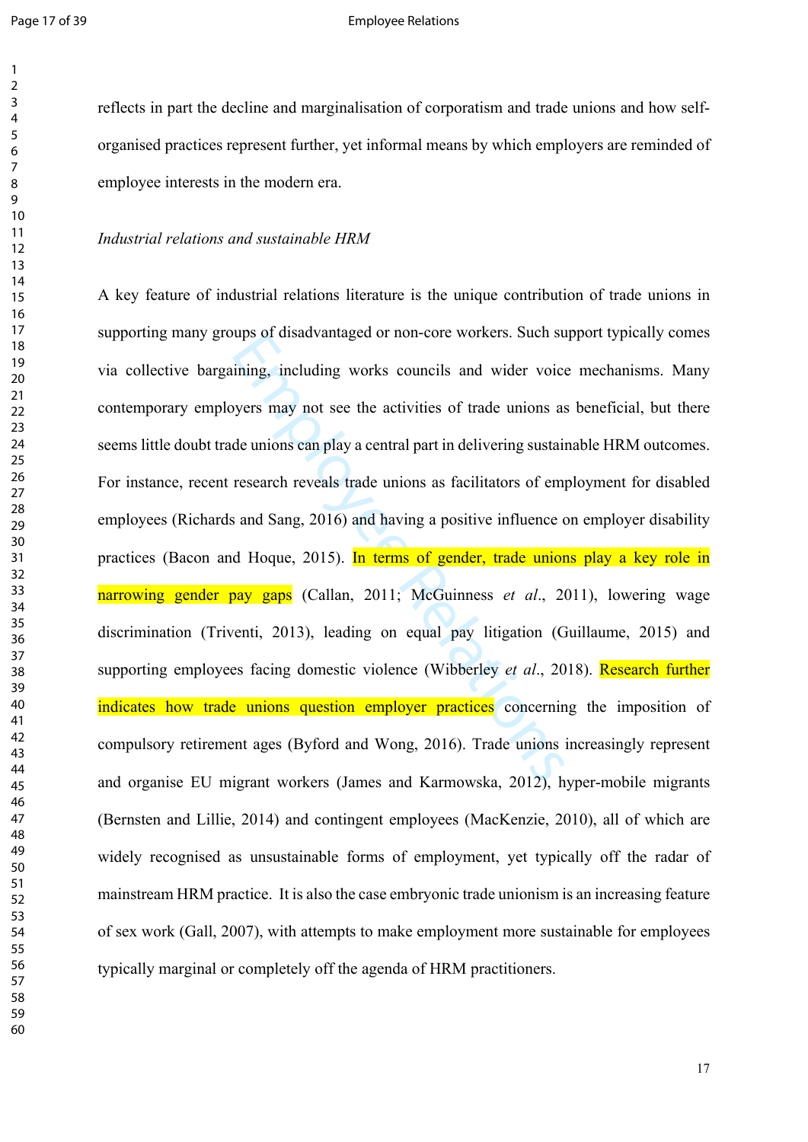#### Page 17 of 39 **Employee Relations**

reflects in part the decline and marginalisation of corporatism and trade unions and how selforganised practices represent further, yet informal means by which employers are reminded of employee interests in the modern era.

## *Industrial relations and sustainable HRM*

thing, including works councils and wider voice<br>ining, including works councils and wider voice<br>yers may not see the activities of trade unions as<br>ade unions can play a central part in delivering sustain<br>research reveals t A key feature of industrial relations literature is the unique contribution of trade unions in supporting many groups of disadvantaged or non-core workers. Such support typically comes via collective bargaining, including works councils and wider voice mechanisms. Many contemporary employers may not see the activities of trade unions as beneficial, but there seems little doubt trade unions can play a central part in delivering sustainable HRM outcomes. For instance, recent research reveals trade unions as facilitators of employment for disabled employees (Richards and Sang, 2016) and having a positive influence on employer disability practices (Bacon and Hoque, 2015). In terms of gender, trade unions play a key role in narrowing gender pay gaps (Callan, 2011; McGuinness *et al*., 2011), lowering wage discrimination (Triventi, 2013), leading on equal pay litigation (Guillaume, 2015) and supporting employees facing domestic violence (Wibberley *et al*., 2018). Research further indicates how trade unions question employer practices concerning the imposition of compulsory retirement ages (Byford and Wong, 2016). Trade unions increasingly represent and organise EU migrant workers (James and Karmowska, 2012), hyper-mobile migrants (Bernsten and Lillie, 2014) and contingent employees (MacKenzie, 2010), all of which are widely recognised as unsustainable forms of employment, yet typically off the radar of mainstream HRM practice. It is also the case embryonic trade unionism is an increasing feature of sex work (Gall, 2007), with attempts to make employment more sustainable for employees typically marginal or completely off the agenda of HRM practitioners.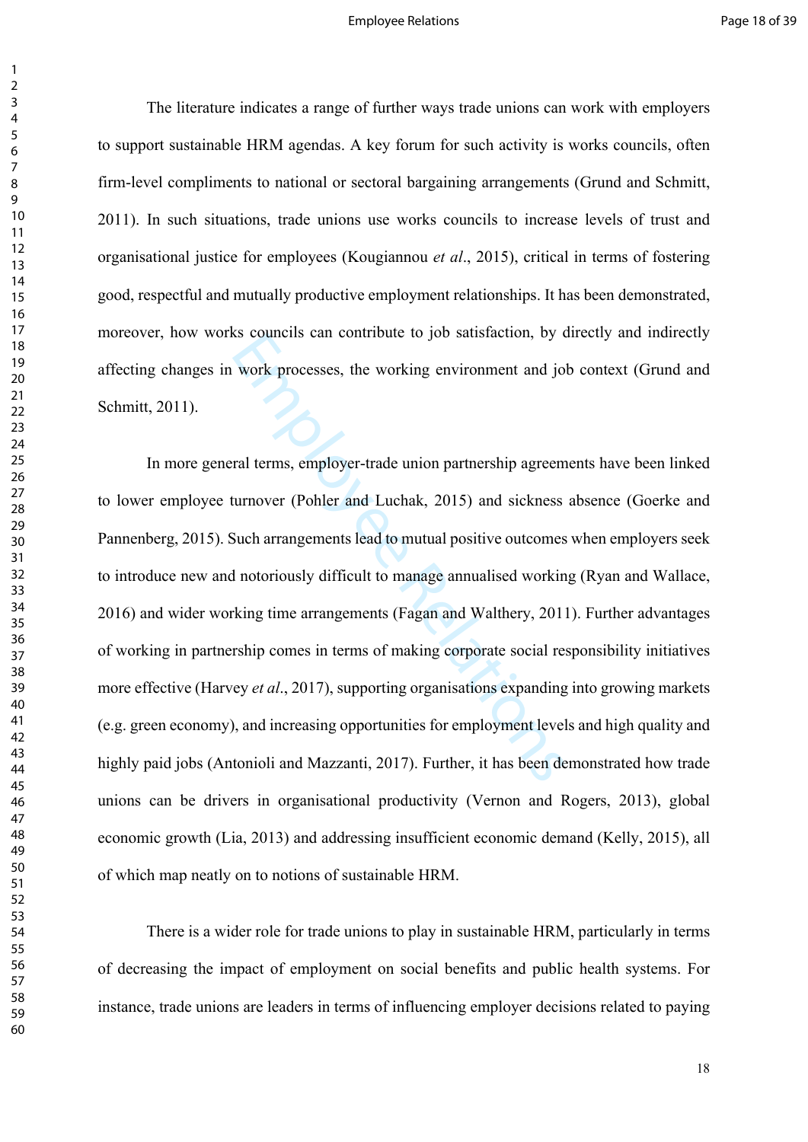#### Employee Relations **Employee Relations**

The literature indicates a range of further ways trade unions can work with employers to support sustainable HRM agendas. A key forum for such activity is works councils, often firm-level compliments to national or sectoral bargaining arrangements (Grund and Schmitt, 2011). In such situations, trade unions use works councils to increase levels of trust and organisational justice for employees (Kougiannou *et al*., 2015), critical in terms of fostering good, respectful and mutually productive employment relationships. It has been demonstrated, moreover, how works councils can contribute to job satisfaction, by directly and indirectly affecting changes in work processes, the working environment and job context (Grund and Schmitt, 2011).

work processes, the working environment and jo<br>work processes, the working environment and jo<br>ral terms, employer-trade union partnership agreen<br>turnover (Pohler and Luchak, 2015) and sickness<br>Such arrangements lead to mu In more general terms, employer-trade union partnership agreements have been linked to lower employee turnover (Pohler and Luchak, 2015) and sickness absence (Goerke and Pannenberg, 2015). Such arrangements lead to mutual positive outcomes when employers seek to introduce new and notoriously difficult to manage annualised working (Ryan and Wallace, 2016) and wider working time arrangements (Fagan and Walthery, 2011). Further advantages of working in partnership comes in terms of making corporate social responsibility initiatives more effective (Harvey *et al*., 2017), supporting organisations expanding into growing markets (e.g. green economy), and increasing opportunities for employment levels and high quality and highly paid jobs (Antonioli and Mazzanti, 2017). Further, it has been demonstrated how trade unions can be drivers in organisational productivity (Vernon and Rogers, 2013), global economic growth (Lia, 2013) and addressing insufficient economic demand (Kelly, 2015), all of which map neatly on to notions of sustainable HRM.

There is a wider role for trade unions to play in sustainable HRM, particularly in terms of decreasing the impact of employment on social benefits and public health systems. For instance, trade unions are leaders in terms of influencing employer decisions related to paying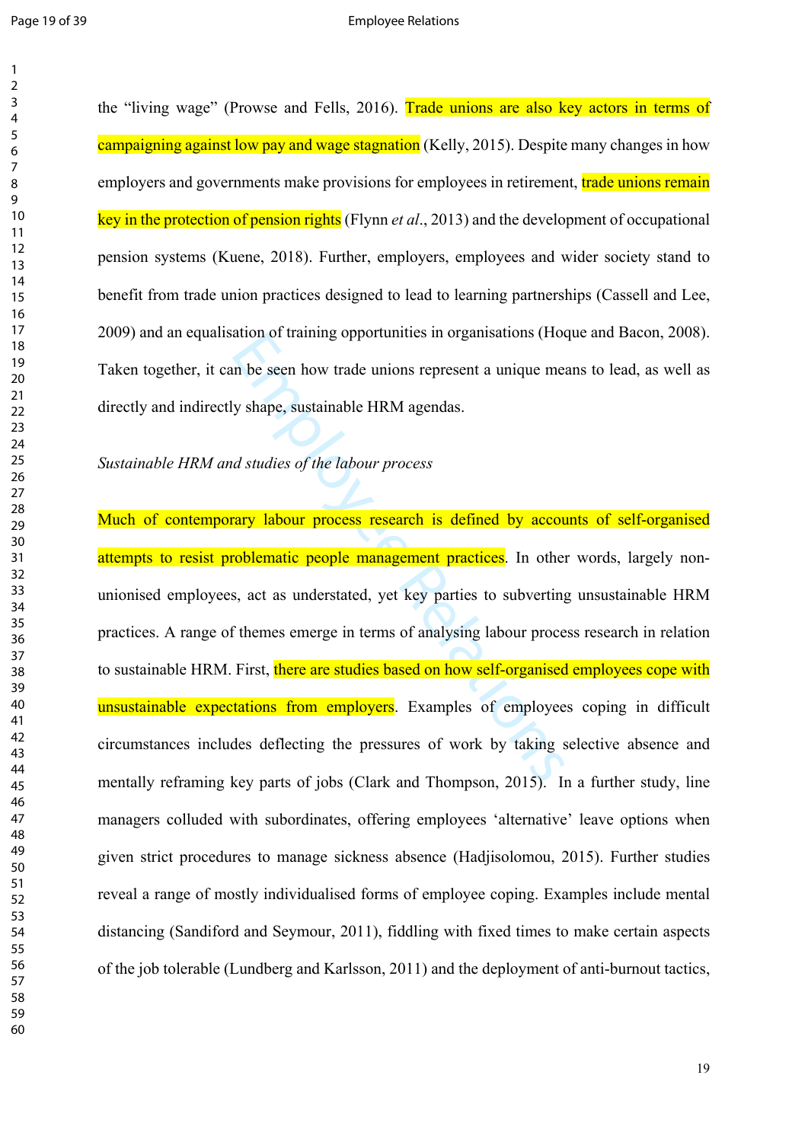$\mathbf{1}$  $\overline{2}$ 

the "living wage" (Prowse and Fells, 2016). Trade unions are also key actors in terms of campaigning against low pay and wage stagnation (Kelly, 2015). Despite many changes in how employers and governments make provisions for employees in retirement, **trade unions remain** key in the protection of pension rights (Flynn *et al*., 2013) and the development of occupational pension systems (Kuene, 2018). Further, employers, employees and wider society stand to benefit from trade union practices designed to lead to learning partnerships (Cassell and Lee, 2009) and an equalisation of training opportunities in organisations (Hoque and Bacon, 2008). Taken together, it can be seen how trade unions represent a unique means to lead, as well as directly and indirectly shape, sustainable HRM agendas.

## *Sustainable HRM and studies of the labour process*

ation of training opportunities in organisations (1100<br>in be seen how trade unions represent a unique me<br>y shape, sustainable HRM agendas.<br>d studies of the labour process<br>rary labour process<br>research is defined by accou-<br>c Much of contemporary labour process research is defined by accounts of self-organised attempts to resist problematic people management practices. In other words, largely nonunionised employees, act as understated, yet key parties to subverting unsustainable HRM practices. A range of themes emerge in terms of analysing labour process research in relation to sustainable HRM. First, there are studies based on how self-organised employees cope with unsustainable expectations from employers. Examples of employees coping in difficult circumstances includes deflecting the pressures of work by taking selective absence and mentally reframing key parts of jobs (Clark and Thompson, 2015). In a further study, line managers colluded with subordinates, offering employees 'alternative' leave options when given strict procedures to manage sickness absence (Hadjisolomou, 2015). Further studies reveal a range of mostly individualised forms of employee coping. Examples include mental distancing (Sandiford and Seymour, 2011), fiddling with fixed times to make certain aspects of the job tolerable (Lundberg and Karlsson, 2011) and the deployment of anti-burnout tactics,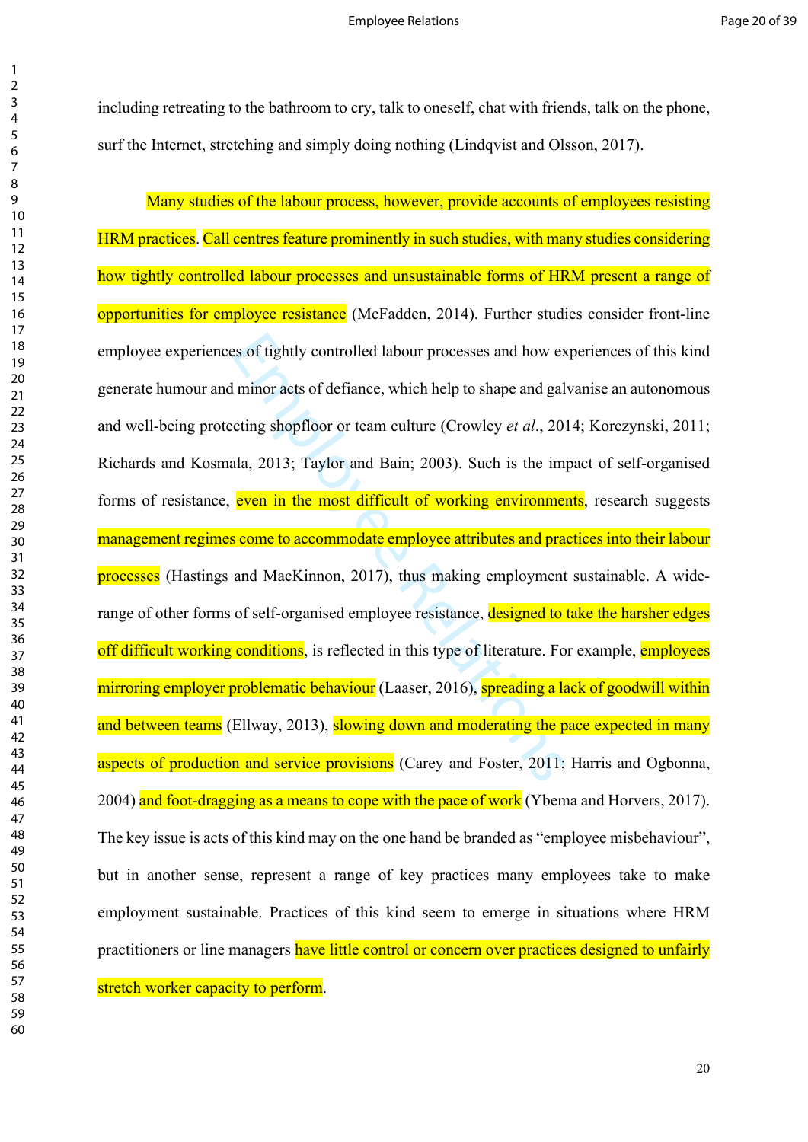including retreating to the bathroom to cry, talk to oneself, chat with friends, talk on the phone, surf the Internet, stretching and simply doing nothing (Lindqvist and Olsson, 2017).

es of tightly controlled labour processes and how ex<br>
l minor acts of defiance, which help to shape and gal<br>
cting shopfloor or team culture (Crowley *et al.*, 20<br>
ala, 2013; Taylor and Bain; 2003). Such is the im<br> **even i** Many studies of the labour process, however, provide accounts of employees resisting HRM practices. Call centres feature prominently in such studies, with many studies considering how tightly controlled labour processes and unsustainable forms of HRM present a range of opportunities for employee resistance (McFadden, 2014). Further studies consider front-line employee experiences of tightly controlled labour processes and how experiences of this kind generate humour and minor acts of defiance, which help to shape and galvanise an autonomous and well-being protecting shopfloor or team culture (Crowley *et al*., 2014; Korczynski, 2011; Richards and Kosmala, 2013; Taylor and Bain; 2003). Such is the impact of self-organised forms of resistance, even in the most difficult of working environments, research suggests management regimes come to accommodate employee attributes and practices into their labour processes (Hastings and MacKinnon, 2017), thus making employment sustainable. A widerange of other forms of self-organised employee resistance, designed to take the harsher edges off difficult working conditions, is reflected in this type of literature. For example, employees mirroring employer problematic behaviour (Laaser, 2016), spreading a lack of goodwill within and between teams (Ellway, 2013), slowing down and moderating the pace expected in many aspects of production and service provisions (Carey and Foster, 2011; Harris and Ogbonna, 2004) and foot-dragging as a means to cope with the pace of work (Ybema and Horvers, 2017). The key issue is acts of this kind may on the one hand be branded as "employee misbehaviour", but in another sense, represent a range of key practices many employees take to make employment sustainable. Practices of this kind seem to emerge in situations where HRM practitioners or line managers have little control or concern over practices designed to unfairly stretch worker capacity to perform.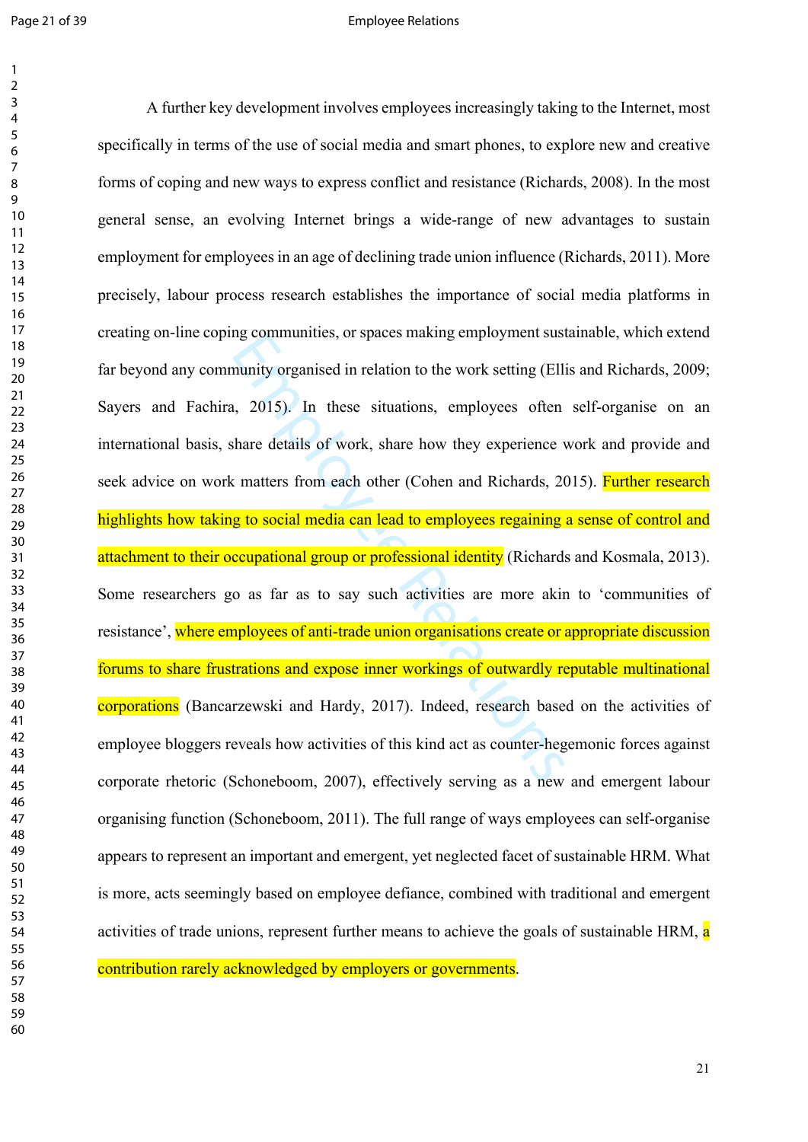$\mathbf{1}$  $\overline{2}$ 

#### Page 21 of 39 **Employee Relations**

ing communities, or spaces inating employment sustaining employment sustaining employment sustaining (Ell, a, 2015). In these situations, employees often share details of work, share how they experience is matters from eac A further key development involves employees increasingly taking to the Internet, most specifically in terms of the use of social media and smart phones, to explore new and creative forms of coping and new ways to express conflict and resistance (Richards, 2008). In the most general sense, an evolving Internet brings a wide-range of new advantages to sustain employment for employees in an age of declining trade union influence (Richards, 2011). More precisely, labour process research establishes the importance of social media platforms in creating on-line coping communities, or spaces making employment sustainable, which extend far beyond any community organised in relation to the work setting (Ellis and Richards, 2009; Sayers and Fachira, 2015). In these situations, employees often self-organise on an international basis, share details of work, share how they experience work and provide and seek advice on work matters from each other (Cohen and Richards, 2015). Further research highlights how taking to social media can lead to employees regaining a sense of control and attachment to their occupational group or professional identity (Richards and Kosmala, 2013). Some researchers go as far as to say such activities are more akin to 'communities of resistance', where employees of anti-trade union organisations create or appropriate discussion forums to share frustrations and expose inner workings of outwardly reputable multinational corporations (Bancarzewski and Hardy, 2017). Indeed, research based on the activities of employee bloggers reveals how activities of this kind act as counter-hegemonic forces against corporate rhetoric (Schoneboom, 2007), effectively serving as a new and emergent labour organising function (Schoneboom, 2011). The full range of ways employees can self-organise appears to represent an important and emergent, yet neglected facet of sustainable HRM. What is more, acts seemingly based on employee defiance, combined with traditional and emergent activities of trade unions, represent further means to achieve the goals of sustainable HRM, a contribution rarely acknowledged by employers or governments.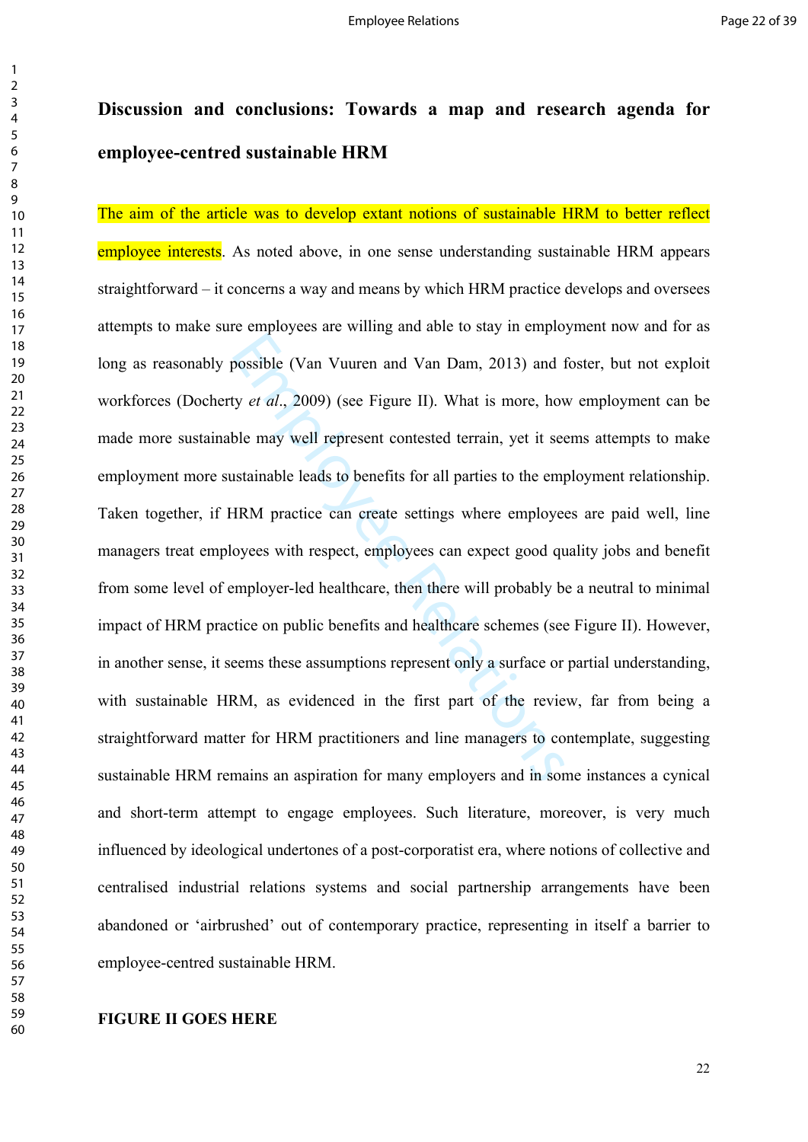# **Discussion and conclusions: Towards a map and research agenda for employee-centred sustainable HRM**

possible (Van Vuuren and Van Dam, 2013) and the *s* of the *al.*, 2009) (see Figure II). What is more, how ble may well represent contested terrain, yet it see astainable leads to benefits for all parties to the emplement The aim of the article was to develop extant notions of sustainable HRM to better reflect employee interests. As noted above, in one sense understanding sustainable HRM appears straightforward – it concerns a way and means by which HRM practice develops and oversees attempts to make sure employees are willing and able to stay in employment now and for as long as reasonably possible (Van Vuuren and Van Dam, 2013) and foster, but not exploit workforces (Docherty *et al*., 2009) (see Figure II). What is more, how employment can be made more sustainable may well represent contested terrain, yet it seems attempts to make employment more sustainable leads to benefits for all parties to the employment relationship. Taken together, if HRM practice can create settings where employees are paid well, line managers treat employees with respect, employees can expect good quality jobs and benefit from some level of employer-led healthcare, then there will probably be a neutral to minimal impact of HRM practice on public benefits and healthcare schemes (see Figure II). However, in another sense, it seems these assumptions represent only a surface or partial understanding, with sustainable HRM, as evidenced in the first part of the review, far from being a straightforward matter for HRM practitioners and line managers to contemplate, suggesting sustainable HRM remains an aspiration for many employers and in some instances a cynical and short-term attempt to engage employees. Such literature, moreover, is very much influenced by ideological undertones of a post-corporatist era, where notions of collective and centralised industrial relations systems and social partnership arrangements have been abandoned or 'airbrushed' out of contemporary practice, representing in itself a barrier to employee-centred sustainable HRM.

 $\mathbf{1}$  $\overline{2}$  $\overline{3}$  $\overline{4}$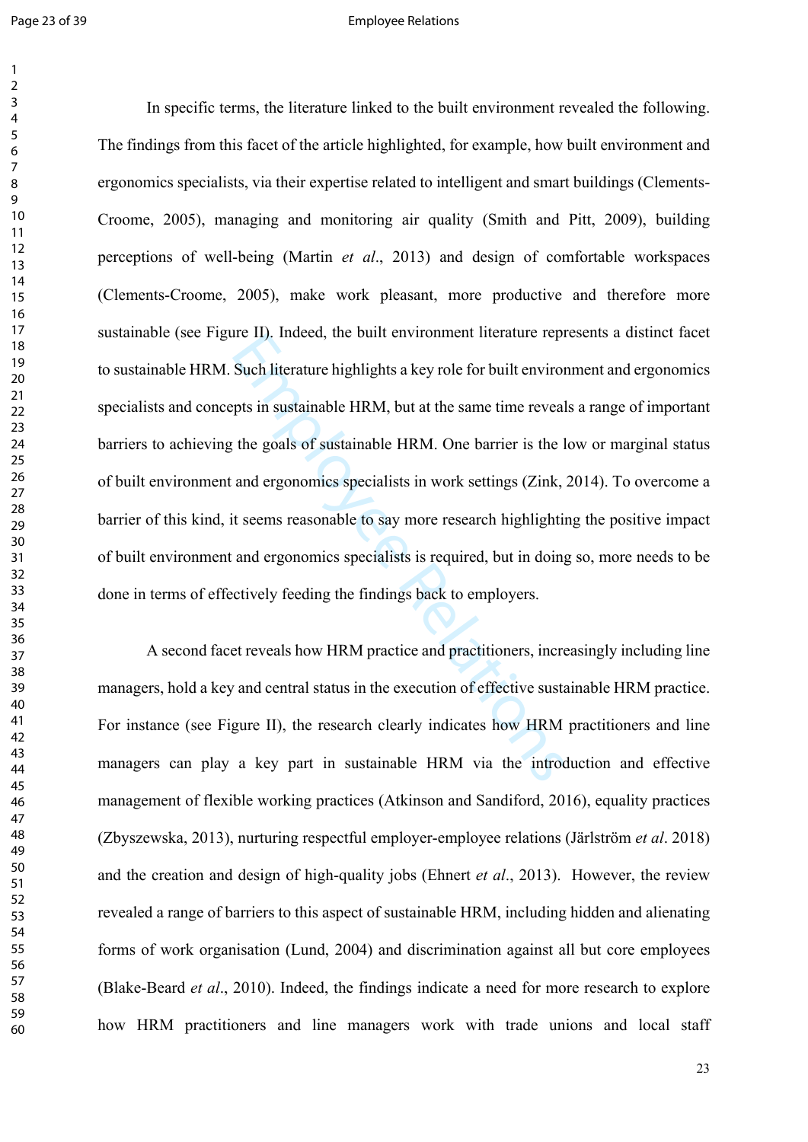$\mathbf{1}$  $\overline{2}$ 

#### Page 23 of 39 **Employee Relations**

Employer In the fightights a key role for built environment<br>Such literature highlights a key role for built environ<br>pts in sustainable HRM, but at the same time reveal<br>the goals of sustainable HRM. One barrier is the l<br>and In specific terms, the literature linked to the built environment revealed the following. The findings from this facet of the article highlighted, for example, how built environment and ergonomics specialists, via their expertise related to intelligent and smart buildings (Clements-Croome, 2005), managing and monitoring air quality (Smith and Pitt, 2009), building perceptions of well-being (Martin *et al*., 2013) and design of comfortable workspaces (Clements-Croome, 2005), make work pleasant, more productive and therefore more sustainable (see Figure II). Indeed, the built environment literature represents a distinct facet to sustainable HRM. Such literature highlights a key role for built environment and ergonomics specialists and concepts in sustainable HRM, but at the same time reveals a range of important barriers to achieving the goals of sustainable HRM. One barrier is the low or marginal status of built environment and ergonomics specialists in work settings (Zink, 2014). To overcome a barrier of this kind, it seems reasonable to say more research highlighting the positive impact of built environment and ergonomics specialists is required, but in doing so, more needs to be done in terms of effectively feeding the findings back to employers.

A second facet reveals how HRM practice and practitioners, increasingly including line managers, hold a key and central status in the execution of effective sustainable HRM practice. For instance (see Figure II), the research clearly indicates how HRM practitioners and line managers can play a key part in sustainable HRM via the introduction and effective management of flexible working practices (Atkinson and Sandiford, 2016), equality practices (Zbyszewska, 2013), nurturing respectful employer-employee relations (Järlström *et al*. 2018) and the creation and design of high-quality jobs (Ehnert *et al*., 2013). However, the review revealed a range of barriers to this aspect of sustainable HRM, including hidden and alienating forms of work organisation (Lund, 2004) and discrimination against all but core employees (Blake-Beard *et al*., 2010). Indeed, the findings indicate a need for more research to explore how HRM practitioners and line managers work with trade unions and local staff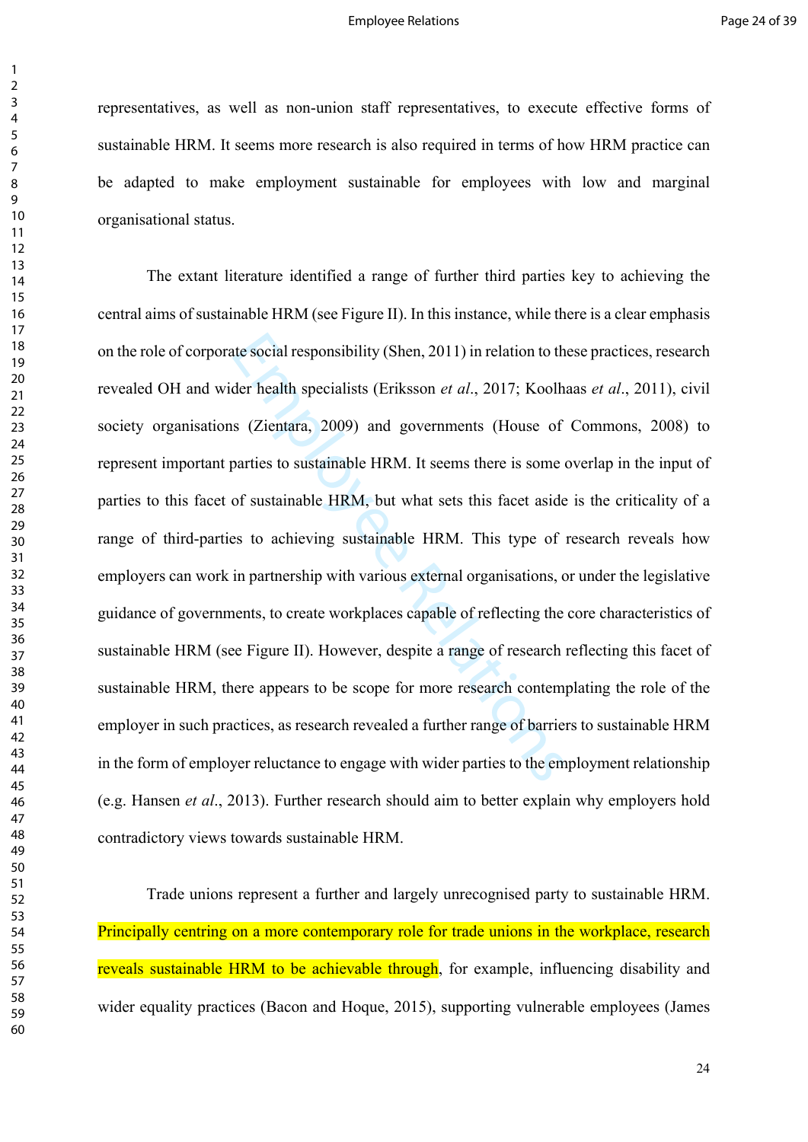representatives, as well as non-union staff representatives, to execute effective forms of sustainable HRM. It seems more research is also required in terms of how HRM practice can be adapted to make employment sustainable for employees with low and marginal organisational status.

the social responsibility (Shen, 2011) in relation to th<br>der health specialists (Eriksson *et al.*, 2017; Koolh<br>s (Zientara, 2009) and governments (House of<br>parties to sustainable HRM. It seems there is some of<br>sustainable The extant literature identified a range of further third parties key to achieving the central aims of sustainable HRM (see Figure II). In this instance, while there is a clear emphasis on the role of corporate social responsibility (Shen, 2011) in relation to these practices, research revealed OH and wider health specialists (Eriksson *et al*., 2017; Koolhaas *et al*., 2011), civil society organisations (Zientara, 2009) and governments (House of Commons, 2008) to represent important parties to sustainable HRM. It seems there is some overlap in the input of parties to this facet of sustainable HRM, but what sets this facet aside is the criticality of a range of third-parties to achieving sustainable HRM. This type of research reveals how employers can work in partnership with various external organisations, or under the legislative guidance of governments, to create workplaces capable of reflecting the core characteristics of sustainable HRM (see Figure II). However, despite a range of research reflecting this facet of sustainable HRM, there appears to be scope for more research contemplating the role of the employer in such practices, as research revealed a further range of barriers to sustainable HRM in the form of employer reluctance to engage with wider parties to the employment relationship (e.g. Hansen *et al*., 2013). Further research should aim to better explain why employers hold contradictory views towards sustainable HRM.

Trade unions represent a further and largely unrecognised party to sustainable HRM. Principally centring on a more contemporary role for trade unions in the workplace, research reveals sustainable HRM to be achievable through, for example, influencing disability and wider equality practices (Bacon and Hoque, 2015), supporting vulnerable employees (James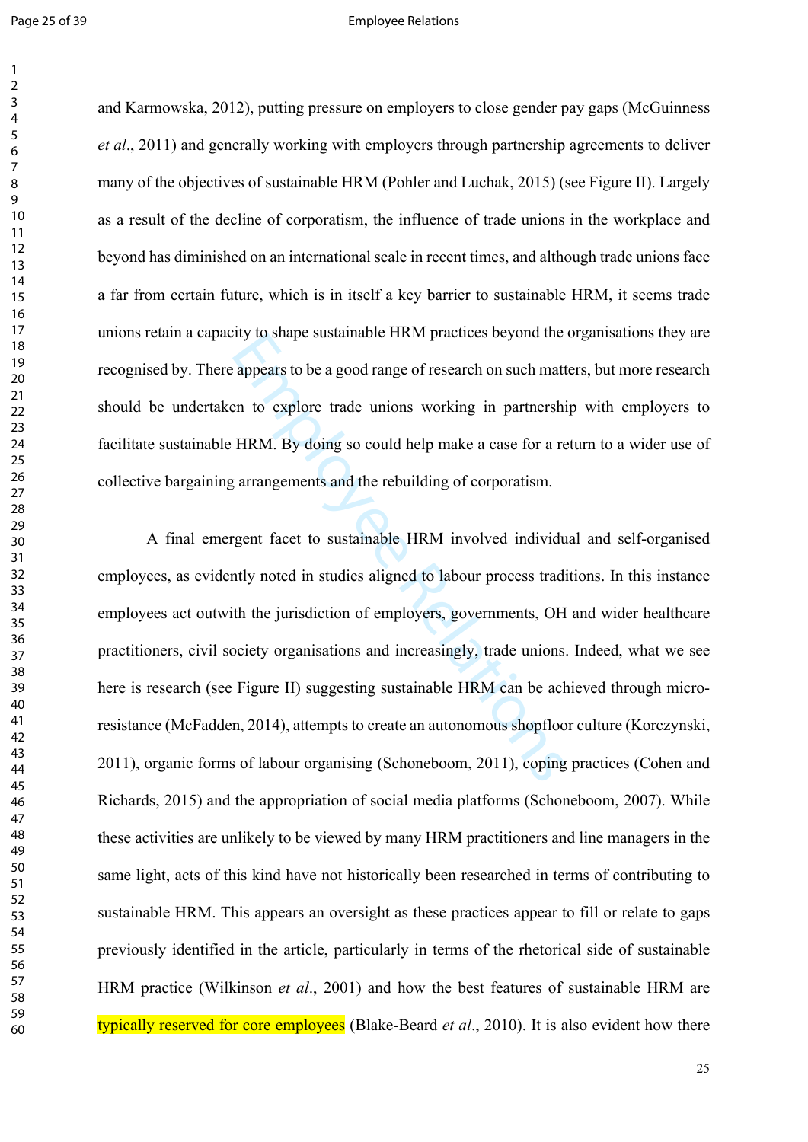#### Page 25 of 39 **Employee Relations**

and Karmowska, 2012), putting pressure on employers to close gender pay gaps (McGuinness *et al*., 2011) and generally working with employers through partnership agreements to deliver many of the objectives of sustainable HRM (Pohler and Luchak, 2015) (see Figure II). Largely as a result of the decline of corporatism, the influence of trade unions in the workplace and beyond has diminished on an international scale in recent times, and although trade unions face a far from certain future, which is in itself a key barrier to sustainable HRM, it seems trade unions retain a capacity to shape sustainable HRM practices beyond the organisations they are recognised by. There appears to be a good range of research on such matters, but more research should be undertaken to explore trade unions working in partnership with employers to facilitate sustainable HRM. By doing so could help make a case for a return to a wider use of collective bargaining arrangements and the rebuilding of corporatism.

The intertance of the method in a supervisory to shape sustainable HNM practices beyond the appears to be a good range of research on such matter and the relations working in partnersh HRM. By doing so could help make a ca A final emergent facet to sustainable HRM involved individual and self-organised employees, as evidently noted in studies aligned to labour process traditions. In this instance employees act outwith the jurisdiction of employers, governments, OH and wider healthcare practitioners, civil society organisations and increasingly, trade unions. Indeed, what we see here is research (see Figure II) suggesting sustainable HRM can be achieved through microresistance (McFadden, 2014), attempts to create an autonomous shopfloor culture (Korczynski, 2011), organic forms of labour organising (Schoneboom, 2011), coping practices (Cohen and Richards, 2015) and the appropriation of social media platforms (Schoneboom, 2007). While these activities are unlikely to be viewed by many HRM practitioners and line managers in the same light, acts of this kind have not historically been researched in terms of contributing to sustainable HRM. This appears an oversight as these practices appear to fill or relate to gaps previously identified in the article, particularly in terms of the rhetorical side of sustainable HRM practice (Wilkinson *et al*., 2001) and how the best features of sustainable HRM are typically reserved for core employees (Blake-Beard *et al*., 2010). It is also evident how there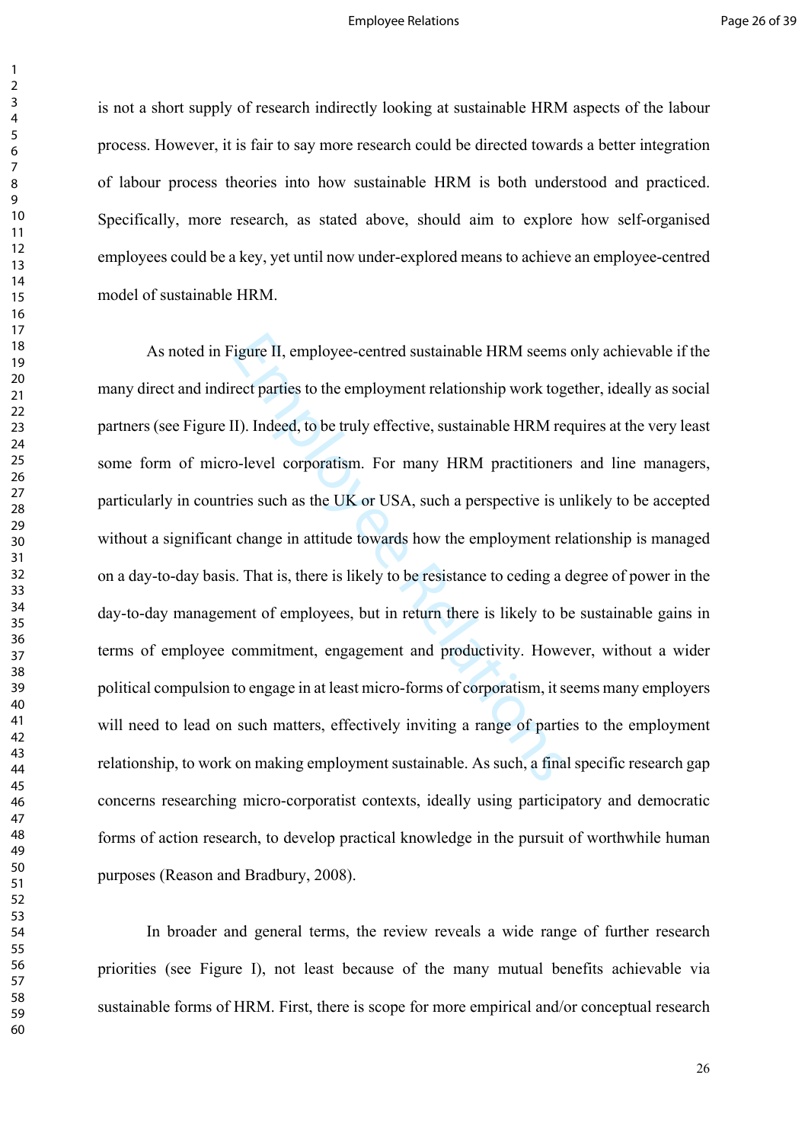is not a short supply of research indirectly looking at sustainable HRM aspects of the labour process. However, it is fair to say more research could be directed towards a better integration of labour process theories into how sustainable HRM is both understood and practiced. Specifically, more research, as stated above, should aim to explore how self-organised employees could be a key, yet until now under-explored means to achieve an employee-centred model of sustainable HRM.

Figure II, employee-centred sustainable HRM seems<br>rect parties to the employment relationship work tog<br>II). Indeed, to be truly effective, sustainable HRM re<br>o-level corporatism. For many HRM practitioner<br>ries such as the As noted in Figure II, employee-centred sustainable HRM seems only achievable if the many direct and indirect parties to the employment relationship work together, ideally as social partners (see Figure II). Indeed, to be truly effective, sustainable HRM requires at the very least some form of micro-level corporatism. For many HRM practitioners and line managers, particularly in countries such as the UK or USA, such a perspective is unlikely to be accepted without a significant change in attitude towards how the employment relationship is managed on a day-to-day basis. That is, there is likely to be resistance to ceding a degree of power in the day-to-day management of employees, but in return there is likely to be sustainable gains in terms of employee commitment, engagement and productivity. However, without a wider political compulsion to engage in at least micro-forms of corporatism, it seems many employers will need to lead on such matters, effectively inviting a range of parties to the employment relationship, to work on making employment sustainable. As such, a final specific research gap concerns researching micro-corporatist contexts, ideally using participatory and democratic forms of action research, to develop practical knowledge in the pursuit of worthwhile human purposes (Reason and Bradbury, 2008).

In broader and general terms, the review reveals a wide range of further research priorities (see Figure I), not least because of the many mutual benefits achievable via sustainable forms of HRM. First, there is scope for more empirical and/or conceptual research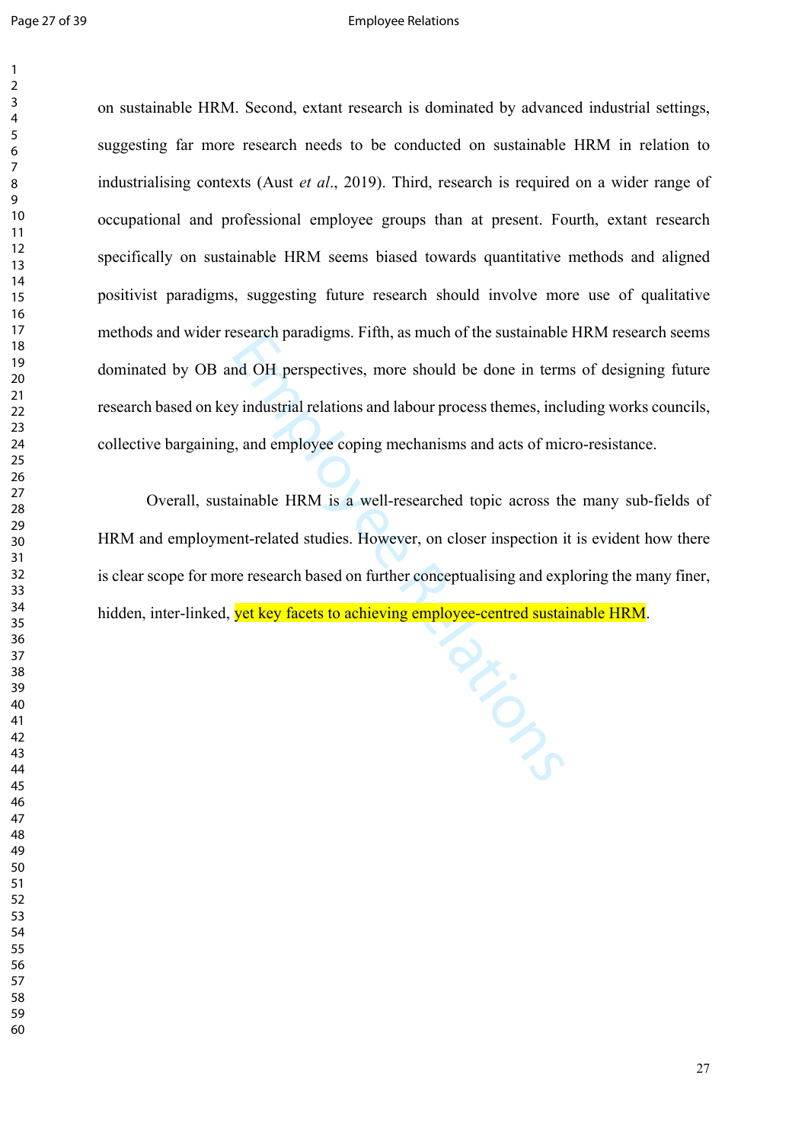#### Page 27 of 39 **Employee Relations**

on sustainable HRM. Second, extant research is dominated by advanced industrial settings, suggesting far more research needs to be conducted on sustainable HRM in relation to industrialising contexts (Aust *et al*., 2019). Third, research is required on a wider range of occupational and professional employee groups than at present. Fourth, extant research specifically on sustainable HRM seems biased towards quantitative methods and aligned positivist paradigms, suggesting future research should involve more use of qualitative methods and wider research paradigms. Fifth, as much of the sustainable HRM research seems dominated by OB and OH perspectives, more should be done in terms of designing future research based on key industrial relations and labour process themes, including works councils, collective bargaining, and employee coping mechanisms and acts of micro-resistance.

Overall, sustainable HRM is a well-researched topic across the many sub-fields of HRM and employment-related studies. However, on closer inspection it is evident how there is clear scope for more research based on further conceptualising and exploring the many finer, hidden, inter-linked, yet key facets to achieving employee-centred sustainable HRM.

RIC TIC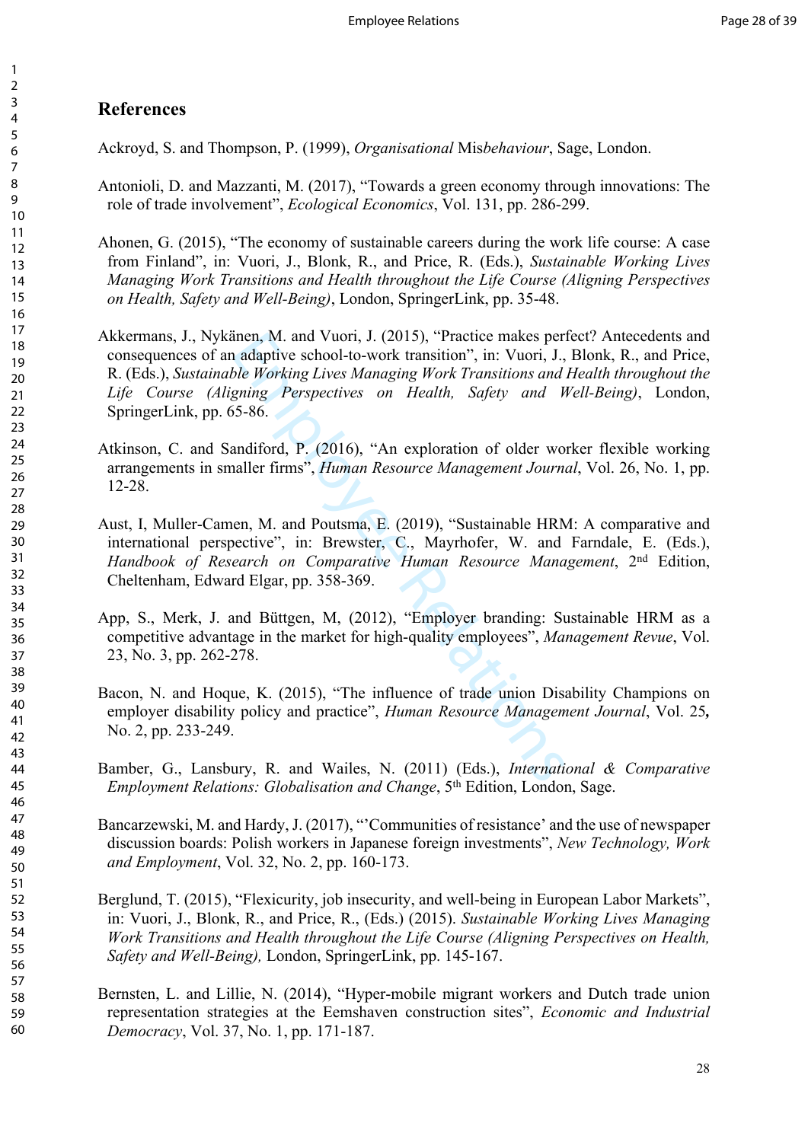# **References**

Ackroyd, S. and Thompson, P. (1999), *Organisational* Mis*behaviour*, Sage, London.

- Antonioli, D. and Mazzanti, M. (2017), "Towards a green economy through innovations: The role of trade involvement", *Ecological Economics*, Vol. 131, pp. 286-299.
- Ahonen, G. (2015), "The economy of sustainable careers during the work life course: A case from Finland", in: Vuori, J., Blonk, R., and Price, R. (Eds.), *Sustainable Working Lives Managing Work Transitions and Health throughout the Life Course (Aligning Perspectives on Health, Safety and Well-Being)*, London, SpringerLink, pp. 35-48.
- inen, M. and Vuori, J. (2015), "Practice makes per<br>adaptive school-to-work transition", in: Vuori, J.,<br>ble Working Lives Managing Work Transitions and<br>gining Perspectives on Health, Safety and V<br>5-86.<br>andiford, P. (2016), Akkermans, J., Nykänen, M. and Vuori, J. (2015), "Practice makes perfect? Antecedents and consequences of an adaptive school-to-work transition", in: Vuori, J., Blonk, R., and Price, R. (Eds.), *Sustainable Working Lives Managing Work Transitions and Health throughout the Life Course (Aligning Perspectives on Health, Safety and Well-Being)*, London, SpringerLink, pp. 65-86.
- Atkinson, C. and Sandiford, P. (2016), "An exploration of older worker flexible working arrangements in smaller firms", *Human Resource Management Journal*, Vol. 26, No. 1, pp. 12-28.
- Aust, I, Muller-Camen, M. and Poutsma, E. (2019), "Sustainable HRM: A comparative and international perspective", in: Brewster, C., Mayrhofer, W. and Farndale, E. (Eds.), *Handbook of Research on Comparative Human Resource Management*, 2nd Edition, Cheltenham, Edward Elgar, pp. 358-369.
- App, S., Merk, J. and Büttgen, M, (2012), "Employer branding: Sustainable HRM as a competitive advantage in the market for high-quality employees", *Management Revue*, Vol. 23, No. 3, pp. 262-278.
- Bacon, N. and Hoque, K. (2015), "The influence of trade union Disability Champions on employer disability policy and practice", *Human Resource Management Journal*, Vol. 25 *,* No. 2, pp. 233-249.
- Bamber, G., Lansbury, R. and Wailes, N. (2011) (Eds.), *International & Comparative Employment Relations: Globalisation and Change*, 5<sup>th</sup> Edition, London, Sage.
- Bancarzewski, M. and Hardy, J. (2017), "'Communities of resistance' and the use of newspaper discussion boards: Polish workers in Japanese foreign investments", *New Technology, Work and Employment*, Vol. 32, No. 2, pp. 160-173.
- Berglund, T. (2015), "Flexicurity, job insecurity, and well-being in European Labor Markets". in: Vuori, J., Blonk, R., and Price, R., (Eds.) (2015). *Sustainable Working Lives Managing Work Transitions and Health throughout the Life Course (Aligning Perspectives on Health, Safety and Well-Being),* London, SpringerLink, pp. 145-167.
- Bernsten, L. and Lillie, N. (2014), "Hyper-mobile migrant workers and Dutch trade union representation strategies at the Eemshaven construction sites", *Economic and Industrial Democracy*, Vol. 37, No. 1, pp. 171-187.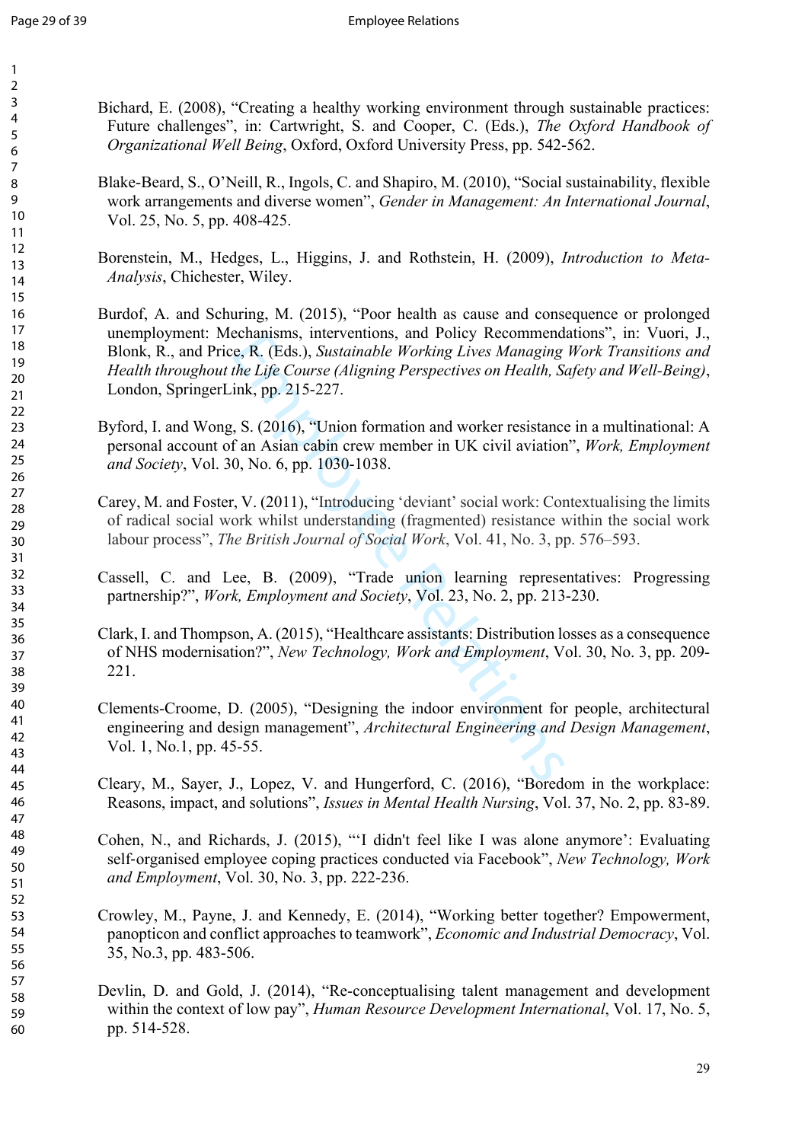$\mathbf{1}$  $\overline{2}$  $\overline{3}$  $\overline{4}$ 

- Bichard, E. (2008), "Creating a healthy working environment through sustainable practices: Future challenges", in: Cartwright, S. and Cooper, C. (Eds.), *The Oxford Handbook of Organizational Well Being*, Oxford, Oxford University Press, pp. 542-562.
	- Blake-Beard, S., O'Neill, R., Ingols, C. and Shapiro, M. (2010), "Social sustainability, flexible work arrangements and diverse women", *Gender in Management: An International Journal*, Vol. 25, No. 5, pp. 408-425.
	- Borenstein, M., Hedges, L., Higgins, J. and Rothstein, H. (2009), *Introduction to Meta-Analysis*, Chichester, Wiley.
	- echalisms, interventions, and Folicy Recommend<br>
	e, R. (Eds.), *Sustainable Working Lives Managing*<br>
	the Life Course (Aligning Perspectives on Health, S.<br>
	ink, pp. 215-227.<br>
	5. (2016), "Union formation and worker resistance Burdof, A. and Schuring, M. (2015), "Poor health as cause and consequence or prolonged unemployment: Mechanisms, interventions, and Policy Recommendations", in: Vuori, J., Blonk, R., and Price, R. (Eds.), *Sustainable Working Lives Managing Work Transitions and Health throughout the Life Course (Aligning Perspectives on Health, Safety and Well-Being)*, London, SpringerLink, pp. 215-227.
	- Byford, I. and Wong, S. (2016), "Union formation and worker resistance in a multinational: A personal account of an Asian cabin crew member in UK civil aviation", *Work, Employment and Society*, Vol. 30, No. 6, pp. 1030-1038.
	- Carey, M. and Foster, V. (2011), "Introducing 'deviant' social work: Contextualising the limits of radical social work whilst understanding (fragmented) resistance within the social work labour process", *The British Journal of Social Work*, Vol. 41, No. 3, pp. 576–593.
	- Cassell, C. and Lee, B. (2009), "Trade union learning representatives: Progressing partnership?", *Work, Employment and Society*, Vol. 23, No. 2, pp. 213-230.
	- Clark, I. and Thompson, A. (2015), "Healthcare assistants: Distribution losses as a consequence of NHS modernisation?", *New Technology, Work and Employment*, Vol. 30, No. 3, pp. 209- 221.
	- Clements-Croome, D. (2005), "Designing the indoor environment for people, architectural engineering and design management", *Architectural Engineering and Design Management*, Vol. 1, No.1, pp. 45-55.
	- Cleary, M., Sayer, J., Lopez, V. and Hungerford, C. (2016), "Boredom in the workplace: Reasons, impact, and solutions", *Issues in Mental Health Nursing*, Vol. 37, No. 2, pp. 83-89.
	- Cohen, N., and Richards, J. (2015), "'I didn't feel like I was alone anymore': Evaluating self‐organised employee coping practices conducted via Facebook", *New Technology, Work and Employment*, Vol. 30, No. 3, pp. 222-236.
	- Crowley, M., Payne, J. and Kennedy, E. (2014), "Working better together? Empowerment, panopticon and conflict approaches to teamwork", *Economic and Industrial Democracy*, Vol. 35, No.3, pp. 483-506.
- Devlin, D. and Gold, J. (2014), "Re-conceptualising talent management and development within the context of low pay", *Human Resource Development International*, Vol. 17, No. 5, pp. 514-528.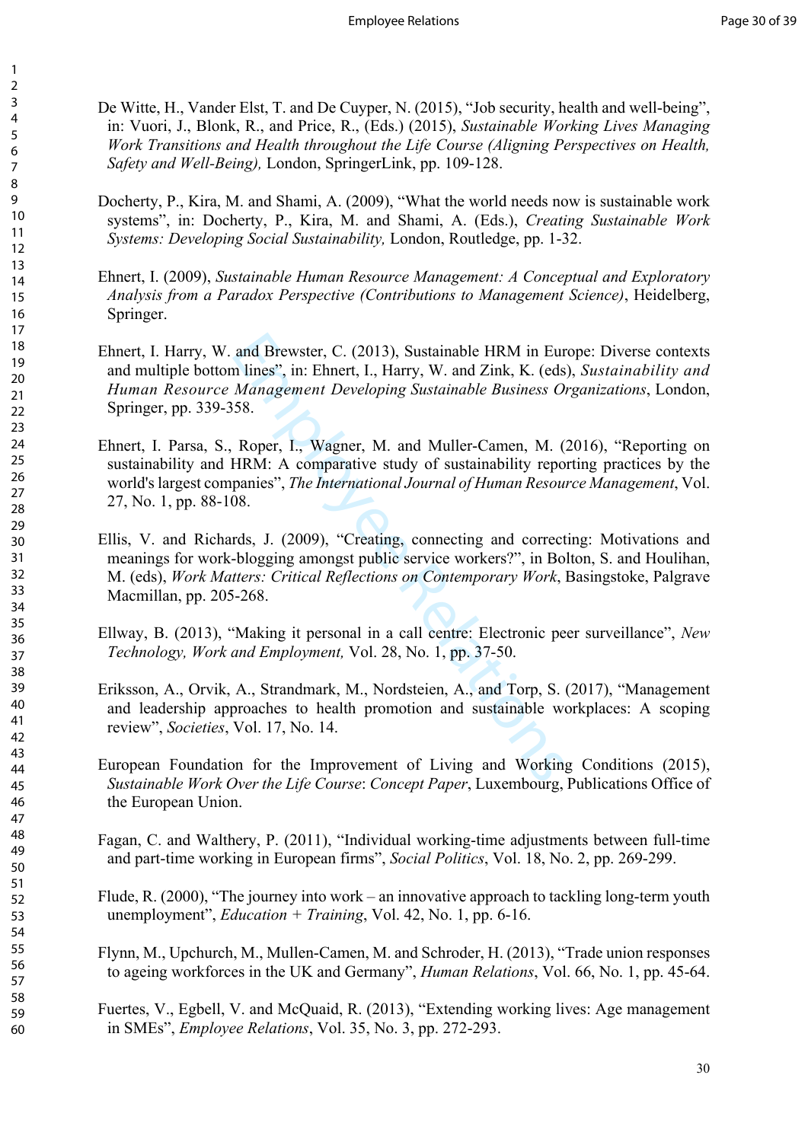De Witte, H., Vander Elst, T. and De Cuyper, N. (2015), "Job security, health and well-being", in: Vuori, J., Blonk, R., and Price, R., (Eds.) (2015), *Sustainable Working Lives Managing Work Transitions and Health throughout the Life Course (Aligning Perspectives on Health, Safety and Well-Being),* London, SpringerLink, pp. 109-128.

Docherty, P., Kira, M. and Shami, A. (2009), "What the world needs now is sustainable work systems", in: Docherty, P., Kira, M. and Shami, A. (Eds.), *Creating Sustainable Work Systems: Developing Social Sustainability,* London, Routledge, pp. 1-32.

Ehnert, I. (2009), *Sustainable Human Resource Management: A Conceptual and Exploratory Analysis from a Paradox Perspective (Contributions to Management Science)*, Heidelberg, Springer.

and Brewster, C. (2013), Sustainable HRM in Eur<br>n lines", in: Ehnert, I., Harry, W. and Zink, K. (eds<br>*Management Developing Sustainable Business O.*<br>58.<br>Roper, I., Wagner, M. and Muller-Camen, M. (<br>HRM: A comparative stu Ehnert, I. Harry, W. and Brewster, C. (2013), Sustainable HRM in Europe: Diverse contexts and multiple bottom lines", in: Ehnert, I., Harry, W. and Zink, K. (eds), *Sustainability and Human Resource Management Developing Sustainable Business Organizations*, London, Springer, pp. 339-358.

Ehnert, I. Parsa, S., Roper, I., Wagner, M. and Muller-Camen, M. (2016), "Reporting on sustainability and HRM: A comparative study of sustainability reporting practices by the world's largest companies", *The International Journal of Human Resource Management*, Vol. 27, No. 1, pp. 88-108.

Ellis, V. and Richards, J. (2009), "Creating, connecting and correcting: Motivations and meanings for work-blogging amongst public service workers?", in Bolton, S. and Houlihan, M. (eds), *Work Matters: Critical Reflections on Contemporary Work*, Basingstoke, Palgrave Macmillan, pp. 205-268.

Ellway, B. (2013), "Making it personal in a call centre: Electronic peer surveillance", *New Technology, Work and Employment,* Vol. 28, No. 1, pp. 37-50.

Eriksson, A., Orvik, A., Strandmark, M., Nordsteien, A., and Torp, S. (2017), "Management and leadership approaches to health promotion and sustainable workplaces: A scoping review", *Societies*, Vol. 17, No. 14.

European Foundation for the Improvement of Living and Working Conditions (2015), *Sustainable Work Over the Life Course*: *Concept Paper*, Luxembourg, Publications Office of the European Union.

Fagan, C. and Walthery, P. (2011), "Individual working-time adjustments between full-time and part-time working in European firms", *Social Politics*, Vol. 18, No. 2, pp. 269-299.

Flude, R. (2000), "The journey into work – an innovative approach to tackling long-term youth unemployment", *Education + Training*, Vol. 42, No. 1, pp. 6-16.

Flynn, M., Upchurch, M., Mullen-Camen, M. and Schroder, H. (2013), "Trade union responses to ageing workforces in the UK and Germany", *Human Relations*, Vol. 66, No. 1, pp. 45-64.

Fuertes, V., Egbell, V. and McQuaid, R. (2013), "Extending working lives: Age management in SMEs", *Employee Relations*, Vol. 35, No. 3, pp. 272-293.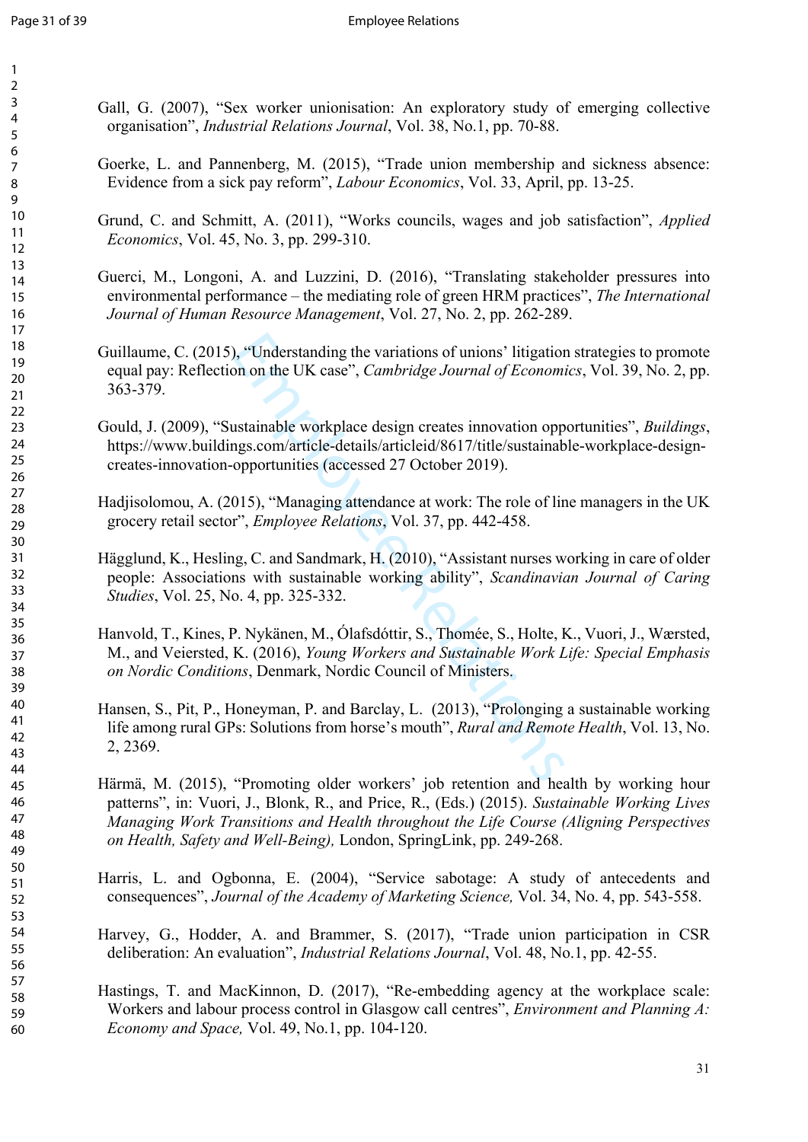$\mathbf{1}$  $\overline{2}$  $\overline{3}$ 

- Gall, G. (2007), "Sex worker unionisation: An exploratory study of emerging collective organisation", *Industrial Relations Journal*, Vol. 38, No.1, pp. 70-88.
- Goerke, L. and Pannenberg, M. (2015), "Trade union membership and sickness absence: Evidence from a sick pay reform", *Labour Economics*, Vol. 33, April, pp. 13-25.
- Grund, C. and Schmitt, A. (2011), "Works councils, wages and job satisfaction", *Applied Economics*, Vol. 45, No. 3, pp. 299-310.
- Guerci, M., Longoni, A. and Luzzini, D. (2016), "Translating stakeholder pressures into environmental performance – the mediating role of green HRM practices", *The International Journal of Human Resource Management*, Vol. 27, No. 2, pp. 262-289.
- ), "Understanding the variations of unions' litigation<br>on on the UK case", *Cambridge Journal of Economi*<br>astainable workplace design creates innovation opp<br>ass.com/article-details/articleid/8617/title/sustainab<br>opportunit Guillaume, C. (2015), "Understanding the variations of unions' litigation strategies to promote equal pay: Reflection on the UK case", *Cambridge Journal of Economics*, Vol. 39, No. 2, pp. 363-379.
- Gould, J. (2009), "Sustainable workplace design creates innovation opportunities", *Buildings*, https://www.buildings.com/article-details/articleid/8617/title/sustainable-workplace-designcreates-innovation-opportunities (accessed 27 October 2019).
- Hadjisolomou, A. (2015), "Managing attendance at work: The role of line managers in the UK grocery retail sector", *Employee Relations*, Vol. 37, pp. 442-458.
- Hägglund, K., Hesling, C. and Sandmark, H. (2010), "Assistant nurses working in care of older people: Associations with sustainable working ability", *Scandinavian Journal of Caring Studies*, Vol. 25, No. 4, pp. 325-332.
- Hanvold, T., Kines, P. Nykänen, M., Ólafsdóttir, S., Thomée, S., Holte, K., Vuori, J., Wærsted, M., and Veiersted, K. (2016), *Young Workers and Sustainable Work Life: Special Emphasis on Nordic Conditions*, Denmark, Nordic Council of Ministers.
- Hansen, S., Pit, P., Honeyman, P. and Barclay, L. (2013), "Prolonging a sustainable working life among rural GPs: Solutions from horse's mouth", *Rural and Remote Health*, Vol. 13, No. 2, 2369.
- Härmä, M. (2015), "Promoting older workers' job retention and health by working hour patterns", in: Vuori, J., Blonk, R., and Price, R., (Eds.) (2015). *Sustainable Working Lives Managing Work Transitions and Health throughout the Life Course (Aligning Perspectives on Health, Safety and Well-Being),* London, SpringLink, pp. 249-268.
- Harris, L. and Ogbonna, E. (2004), "Service sabotage: A study of antecedents and consequences", *Journal of the Academy of Marketing Science,* Vol. 34, No. 4, pp. 543-558.
- Harvey, G., Hodder, A. and Brammer, S. (2017), "Trade union participation in CSR deliberation: An evaluation", *Industrial Relations Journal*, Vol. 48, No.1, pp. 42-55.
- Hastings, T. and MacKinnon, D. (2017), "Re-embedding agency at the workplace scale: Workers and labour process control in Glasgow call centres", *Environment and Planning A: Economy and Space,* Vol. 49, No.1, pp. 104-120.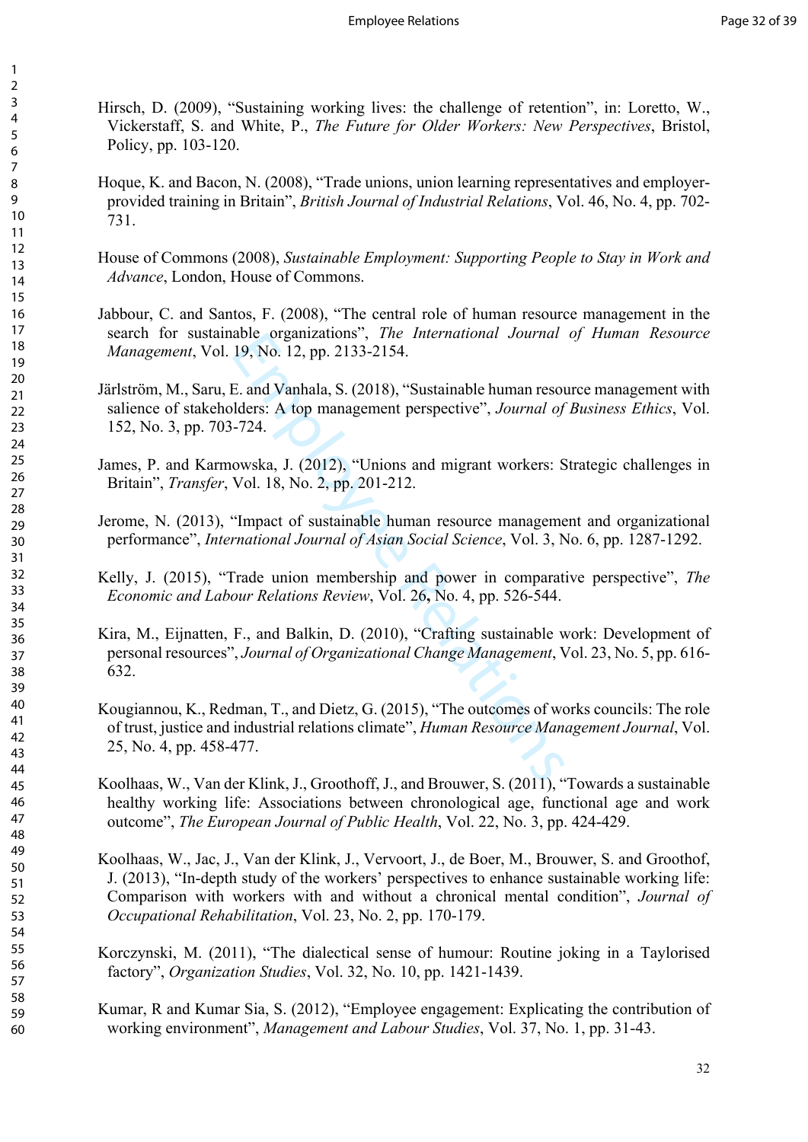- Hirsch, D. (2009), "Sustaining working lives: the challenge of retention", in: Loretto, W., Vickerstaff, S. and White, P., *The Future for Older Workers: New Perspectives*, Bristol, Policy, pp. 103-120.
- Hoque, K. and Bacon, N. (2008), "Trade unions, union learning representatives and employerprovided training in Britain", *British Journal of Industrial Relations*, Vol. 46, No. 4, pp. 702- 731.
- House of Commons (2008), *Sustainable Employment: Supporting People to Stay in Work and Advance*, London, House of Commons.
- Jabbour, C. and Santos, F. (2008), "The central role of human resource management in the search for sustainable organizations", *The International Journal of Human Resource Management*, Vol. 19, No. 12, pp. 2133-2154.
- able organizations, *The International Journal*<br>19, No. 12, pp. 2133-2154.<br>E. and Vanhala, S. (2018), "Sustainable human resources: A top management perspective", *Journal of*<br>-724.<br>wska, J. (2012), "Unions and migrant wor Järlström, M., Saru, E. and Vanhala, S. (2018), "Sustainable human resource management with salience of stakeholders: A top management perspective", *Journal of Business Ethics*, Vol. 152, No. 3, pp. 703-724.
- James, P. and Karmowska, J. (2012), "Unions and migrant workers: Strategic challenges in Britain", *Transfer*, Vol. 18, No. 2, pp. 201-212.
- Jerome, N. (2013), "Impact of sustainable human resource management and organizational performance", *International Journal of Asian Social Science*, Vol. 3, No. 6, pp. 1287-1292.
- Kelly, J. (2015), "Trade union membership and power in comparative perspective", *The Economic and Labour Relations Review*, Vol. 26 **,** No. 4, pp. 526-544.
- Kira, M., Eijnatten, F., and Balkin, D. (2010), "Crafting sustainable work: Development of personal resources", *Journal of Organizational Change Management*, Vol. 23, No. 5, pp. 616- 632.
- Kougiannou, K., Redman, T., and Dietz, G. (2015), "The outcomes of works councils: The role of trust, justice and industrial relations climate", *Human Resource Management Journal*, Vol. 25, No. 4, pp. 458-477.
- Koolhaas, W., Van der Klink, J., Groothoff, J., and Brouwer, S. (2011), "Towards a sustainable healthy working life: Associations between chronological age, functional age and work outcome", *The European Journal of Public Health*, Vol. 22, No. 3, pp. 424-429.
- Koolhaas, W., Jac, J., Van der Klink, J., Vervoort, J., de Boer, M., Brouwer, S. and Groothof, J. (2013), "In-depth study of the workers' perspectives to enhance sustainable working life: Comparison with workers with and without a chronical mental condition", *Journal of Occupational Rehabilitation*, Vol. 23, No. 2, pp. 170-179.
- Korczynski, M. (2011), "The dialectical sense of humour: Routine joking in a Taylorised factory", *Organization Studies*, Vol. 32, No. 10, pp. 1421-1439.
- Kumar, R and Kumar Sia, S. (2012), "Employee engagement: Explicating the contribution of working environment", *Management and Labour Studies*, Vol. 37, No. 1, pp. 31-43.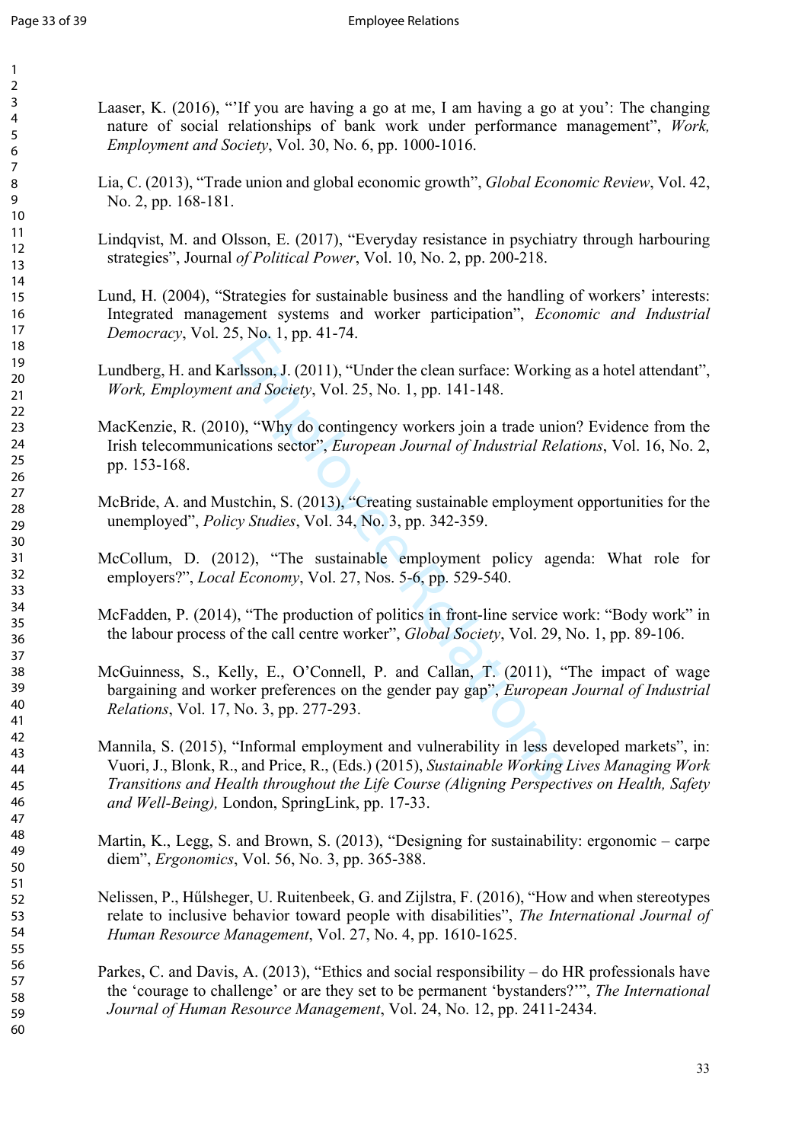123456789

 $\mathbf{1}$  $\overline{2}$  $\overline{3}$  $\overline{4}$ 5 6  $\overline{7}$ 8 9

Laaser, K. (2016), "If you are having a go at me, I am having a go at you': The changing nature of social relationships of bank work under performance management", *Work, Employment and Society*, Vol. 30, No. 6, pp. 1000-1016.

Lia, C. (2013), "Trade union and global economic growth", *Global Economic Review*, Vol. 42, No. 2, pp. 168-181.

Lindqvist, M. and Olsson, E. (2017), "Everyday resistance in psychiatry through harbouring strategies", Journal *of Political Power*, Vol. 10, No. 2, pp. 200-218.

Lund, H. (2004), "Strategies for sustainable business and the handling of workers' interests: Integrated management systems and worker participation", *Economic and Industrial Democracy*, Vol. 25, No. 1, pp. 41-74.

Lundberg, H. and Karlsson, J. (2011), "Under the clean surface: Working as a hotel attendant", *Work, Employment and Society*, Vol. 25, No. 1, pp. 141-148.

Employee Relations MacKenzie, R. (2010), "Why do contingency workers join a trade union? Evidence from the Irish telecommunications sector", *European Journal of Industrial Relations*, Vol. 16, No. 2, pp. 153-168.

McBride, A. and Mustchin, S. (2013), "Creating sustainable employment opportunities for the unemployed", *Policy Studies*, Vol. 34, No. 3, pp. 342-359.

McCollum, D. (2012), "The sustainable employment policy agenda: What role for employers?", *Local Economy*, Vol. 27, Nos. 5-6, pp. 529-540.

McFadden, P. (2014), "The production of politics in front-line service work: "Body work" in the labour process of the call centre worker", *Global Society*, Vol. 29, No. 1, pp. 89-106.

McGuinness, S., Kelly, E., O'Connell, P. and Callan, T. (2011), "The impact of wage bargaining and worker preferences on the gender pay gap", *European Journal of Industrial Relations*, Vol. 17, No. 3, pp. 277-293.

Mannila, S. (2015), "Informal employment and vulnerability in less developed markets", in: Vuori, J., Blonk, R., and Price, R., (Eds.) (2015), *Sustainable Working Lives Managing Work Transitions and Health throughout the Life Course (Aligning Perspectives on Health, Safety and Well-Being),* London, SpringLink, pp. 17-33.

Martin, K., Legg, S. and Brown, S. (2013), "Designing for sustainability: ergonomic – carpe diem", *Ergonomics*, Vol. 56, No. 3, pp. 365-388.

Nelissen, P., Hűlsheger, U. Ruitenbeek, G. and Zijlstra, F. (2016), "How and when stereotypes relate to inclusive behavior toward people with disabilities", *The International Journal of Human Resource Management*, Vol. 27, No. 4, pp. 1610-1625.

Parkes, C. and Davis, A. (2013), "Ethics and social responsibility – do HR professionals have the 'courage to challenge' or are they set to be permanent 'bystanders?'", *The International Journal of Human Resource Management*, Vol. 24, No. 12, pp. 2411-2434.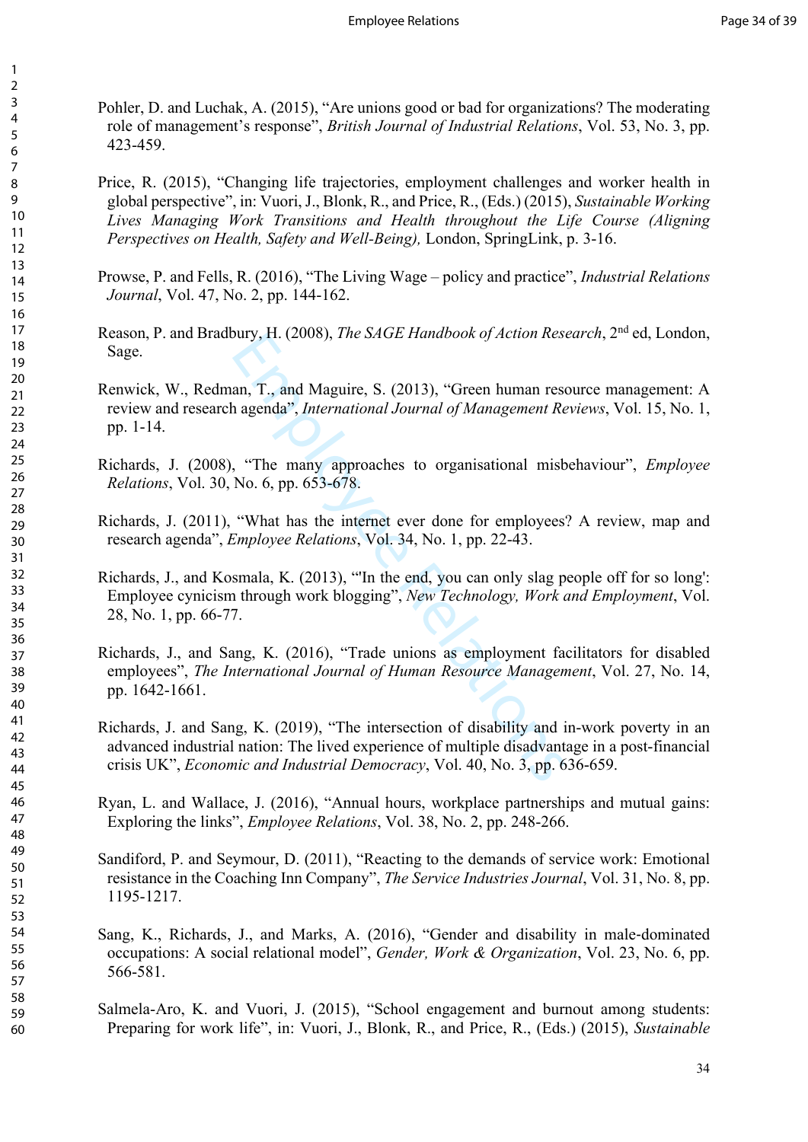Pohler, D. and Luchak, A. (2015), "Are unions good or bad for organizations? The moderating role of management's response", *British Journal of Industrial Relations*, Vol. 53, No. 3, pp. 423-459.

Price, R. (2015), "Changing life trajectories, employment challenges and worker health in global perspective", in: Vuori, J., Blonk, R., and Price, R., (Eds.) (2015), *Sustainable Working Lives Managing Work Transitions and Health throughout the Life Course (Aligning Perspectives on Health, Safety and Well-Being),* London, SpringLink, p. 3-16.

Prowse, P. and Fells, R. (2016), "The Living Wage – policy and practice", *Industrial Relations Journal*, Vol. 47, No. 2, pp. 144-162.

Reason, P. and Bradbury, H. (2008), *The SAGE Handbook of Action Research*, 2nd ed, London, Sage.

bury, H. (2008), *The SAOE Trandobok of Action Kess*<br>an, T., and Maguire, S. (2013), "Green human ress<br>agenda", *International Journal of Management Re*,<br>"The many approaches to organisational mist<br>No. 6, pp. 653-678.<br>"Wha Renwick, W., Redman, T., and Maguire, S. (2013), "Green human resource management: A review and research agenda", *International Journal of Management Reviews*, Vol. 15, No. 1, pp. 1-14.

Richards, J. (2008), "The many approaches to organisational misbehaviour", *Employee Relations*, Vol. 30, No. 6, pp. 653-678.

Richards, J. (2011), "What has the internet ever done for employees? A review, map and research agenda", *Employee Relations*, Vol. 34, No. 1, pp. 22-43.

Richards, J., and Kosmala, K. (2013), "'In the end, you can only slag people off for so long': Employee cynicism through work blogging", *New Technology, Work and Employment*, Vol. 28, No. 1, pp. 66-77.

Richards, J., and Sang, K. (2016), "Trade unions as employment facilitators for disabled employees", *The International Journal of Human Resource Management*, Vol. 27, No. 14, pp. 1642-1661.

Richards, J. and Sang, K. (2019), "The intersection of disability and in-work poverty in an advanced industrial nation: The lived experience of multiple disadvantage in a post-financial crisis UK", *Economic and Industrial Democracy*, Vol. 40, No. 3, pp. 636-659.

Ryan, L. and Wallace, J. (2016), "Annual hours, workplace partnerships and mutual gains: Exploring the links", *Employee Relations*, Vol. 38, No. 2, pp. 248-266.

Sandiford, P. and Seymour, D. (2011), "Reacting to the demands of service work: Emotional resistance in the Coaching Inn Company", *The Service Industries Journal*, Vol. 31, No. 8, pp. 1195-1217.

Sang, K., Richards, J., and Marks, A. (2016), "Gender and disability in male-dominated occupations: A social relational model", *Gender, Work & Organization*, Vol. 23, No. 6, pp. 566-581.

Salmela-Aro, K. and Vuori, J. (2015), "School engagement and burnout among students: Preparing for work life", in: Vuori, J., Blonk, R., and Price, R., (Eds.) (2015), *Sustainable*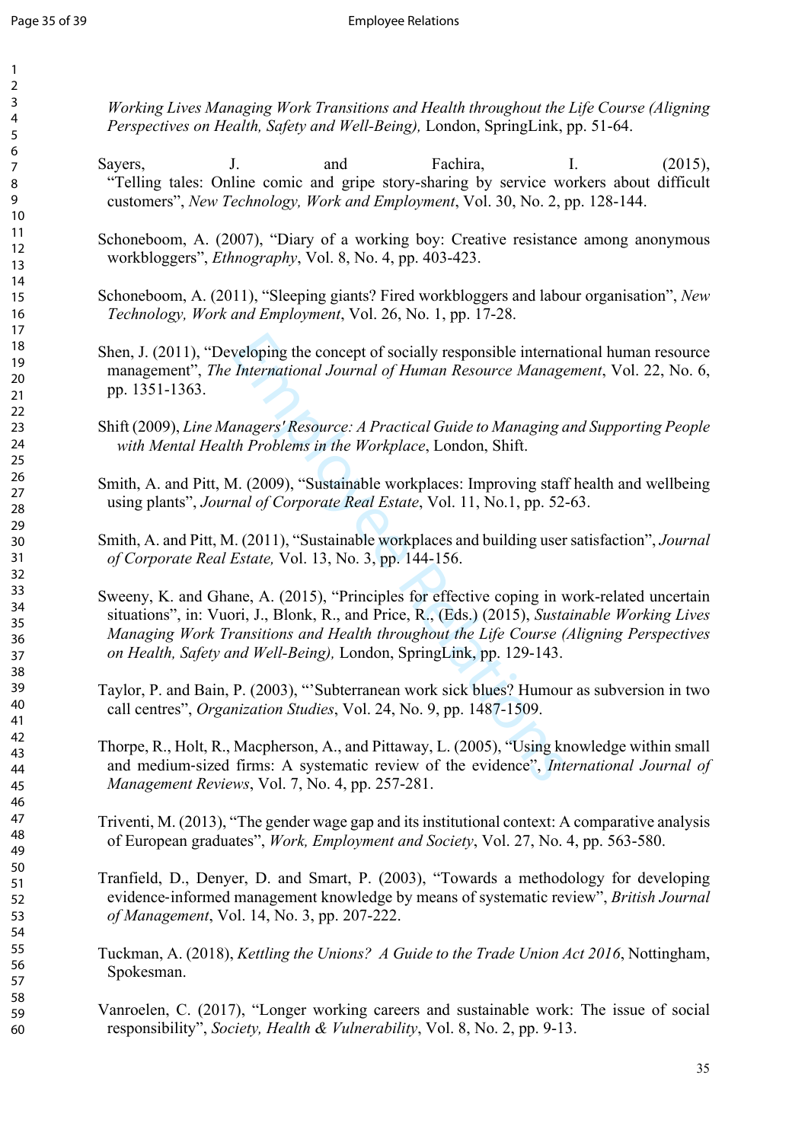$\mathbf{1}$  $\overline{2}$ 

*Working Lives Managing Work Transitions and Health throughout the Life Course (Aligning Perspectives on Health, Safety and Well-Being),* London, SpringLink, pp. 51-64.

Sayers, J. and Fachira, I. (2015), "Telling tales: Online comic and gripe story-sharing by service workers about difficult customers", *New Technology, Work and Employment*, Vol. 30, No. 2, pp. 128-144.

Schoneboom, A. (2007), "Diary of a working boy: Creative resistance among anonymous workbloggers", *Ethnography*, Vol. 8, No. 4, pp. 403-423.

Schoneboom, A. (2011), "Sleeping giants? Fired workbloggers and labour organisation", *New Technology, Work and Employment*, Vol. 26, No. 1, pp. 17-28.

Shen, J. (2011), "Developing the concept of socially responsible international human resource management", *The International Journal of Human Resource Management*, Vol. 22, No. 6, pp. 1351-1363.

Shift (2009), *Line Managers' Resource: A Practical Guide to Managing and Supporting People with Mental Health Problems in the Workplace*, London, Shift.

Smith, A. and Pitt, M. (2009), "Sustainable workplaces: Improving staff health and wellbeing using plants", *Journal of Corporate Real Estate*, Vol. 11, No.1, pp. 52-63.

Smith, A. and Pitt, M. (2011), "Sustainable workplaces and building user satisfaction", *Journal of Corporate Real Estate,* Vol. 13, No. 3, pp. 144-156.

veloping the concept of socially responsible interna<br>
International Journal of Human Resource Manage<br>
unagers' Resource: A Practical Guide to Managing c<br>
th Problems in the Workplace, London, Shift.<br>
1. (2009), "Sustainabl Sweeny, K. and Ghane, A. (2015), "Principles for effective coping in work-related uncertain situations", in: Vuori, J., Blonk, R., and Price, R., (Eds.) (2015), *Sustainable Working Lives Managing Work Transitions and Health throughout the Life Course (Aligning Perspectives on Health, Safety and Well-Being),* London, SpringLink, pp. 129-143.

Taylor, P. and Bain, P. (2003), "'Subterranean work sick blues? Humour as subversion in two call centres", *Organization Studies*, Vol. 24, No. 9, pp. 1487-1509.

Thorpe, R., Holt, R., Macpherson, A., and Pittaway, L. (2005), "Using knowledge within small and medium ‐sized firms: A systematic review of the evidence", *International Journal of Management Reviews*, Vol. 7, No. 4, pp. 257-281.

Triventi, M. (2013), "The gender wage gap and its institutional context: A comparative analysis of European graduates", *Work, Employment and Society*, Vol. 27, No. 4, pp. 563-580.

Tranfield, D., Denyer, D. and Smart, P. (2003), "Towards a methodology for developing evidence ‐informed management knowledge by means of systematic review", *British Journal of Management*, Vol. 14, No. 3, pp. 207-222.

Tuckman, A. (2018), *Kettling the Unions? A Guide to the Trade Union Act 2016*, Nottingham, Spokesman.

Vanroelen, C. (2017), "Longer working careers and sustainable work: The issue of social responsibility", *Society, Health & Vulnerability*, Vol. 8, No. 2, pp. 9-13.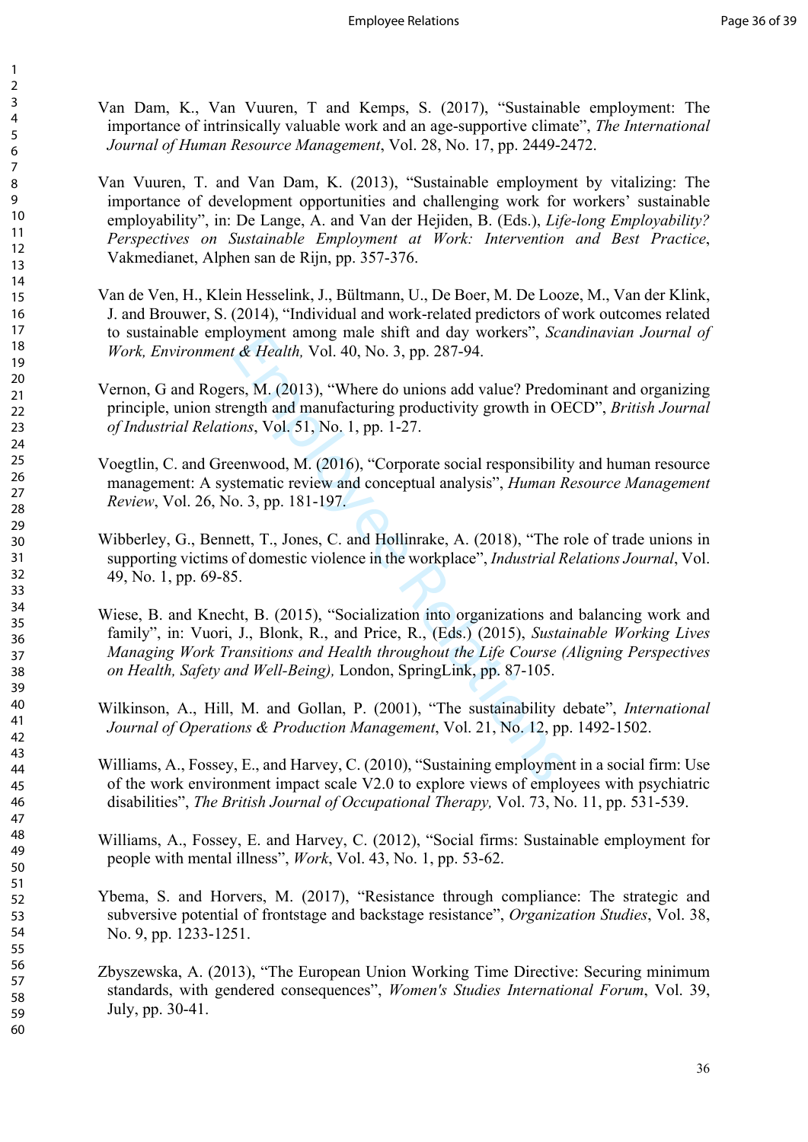Van Dam, K., Van Vuuren, T and Kemps, S. (2017), "Sustainable employment: The importance of intrinsically valuable work and an age-supportive climate", *The International Journal of Human Resource Management*, Vol. 28, No. 17, pp. 2449-2472.

Van Vuuren, T. and Van Dam, K. (2013), "Sustainable employment by vitalizing: The importance of development opportunities and challenging work for workers' sustainable employability", in: De Lange, A. and Van der Hejiden, B. (Eds.), *Life-long Employability? Perspectives on Sustainable Employment at Work: Intervention and Best Practice*, Vakmedianet, Alphen san de Rijn, pp. 357-376.

Van de Ven, H., Klein Hesselink, J., Bültmann, U., De Boer, M. De Looze, M., Van der Klink, J. and Brouwer, S. (2014), "Individual and work-related predictors of work outcomes related to sustainable employment among male shift and day workers", *Scandinavian Journal of Work, Environment & Health,* Vol. 40, No. 3, pp. 287-94.

Vernon, G and Rogers, M. (2013), "Where do unions add value? Predominant and organizing principle, union strength and manufacturing productivity growth in OECD", *British Journal of Industrial Relations*, Vol. 51, No. 1, pp. 1-27.

Voegtlin, C. and Greenwood, M. (2016), "Corporate social responsibility and human resource management: A systematic review and conceptual analysis", *Human Resource Management Review*, Vol. 26, No. 3, pp. 181-197.

Wibberley, G., Bennett, T., Jones, C. and Hollinrake, A. (2018), "The role of trade unions in supporting victims of domestic violence in the workplace", *Industrial Relations Journal*, Vol. 49, No. 1, pp. 69-85.

it definited and the suite and day workers contact the *Health*, Vol. 40, No. 3, pp. 287-94.<br>
F.S. M. (2013), "Where do unions add value? Predorength and manufacturing productivity growth in Olons, Vol. 51, No. 1, pp. 1-27 Wiese, B. and Knecht, B. (2015), "Socialization into organizations and balancing work and family", in: Vuori, J., Blonk, R., and Price, R., (Eds.) (2015), *Sustainable Working Lives Managing Work Transitions and Health throughout the Life Course (Aligning Perspectives on Health, Safety and Well-Being),* London, SpringLink, pp. 87-105.

Wilkinson, A., Hill, M. and Gollan, P. (2001), "The sustainability debate", *International Journal of Operations & Production Management*, Vol. 21, No. 12, pp. 1492-1502.

Williams, A., Fossey, E., and Harvey, C. (2010), "Sustaining employment in a social firm: Use of the work environment impact scale V2.0 to explore views of employees with psychiatric disabilities", *The British Journal of Occupational Therapy,* Vol. 73, No. 11, pp. 531-539.

Williams, A., Fossey, E. and Harvey, C. (2012), "Social firms: Sustainable employment for people with mental illness", *Work*, Vol. 43, No. 1, pp. 53-62.

Ybema, S. and Horvers, M. (2017), "Resistance through compliance: The strategic and subversive potential of frontstage and backstage resistance", *Organization Studies*, Vol. 38, No. 9, pp. 1233-1251.

Zbyszewska, A. (2013), "The European Union Working Time Directive: Securing minimum standards, with gendered consequences", *Women's Studies International Forum*, Vol. 39, July, pp. 30-41.

 $\mathbf{1}$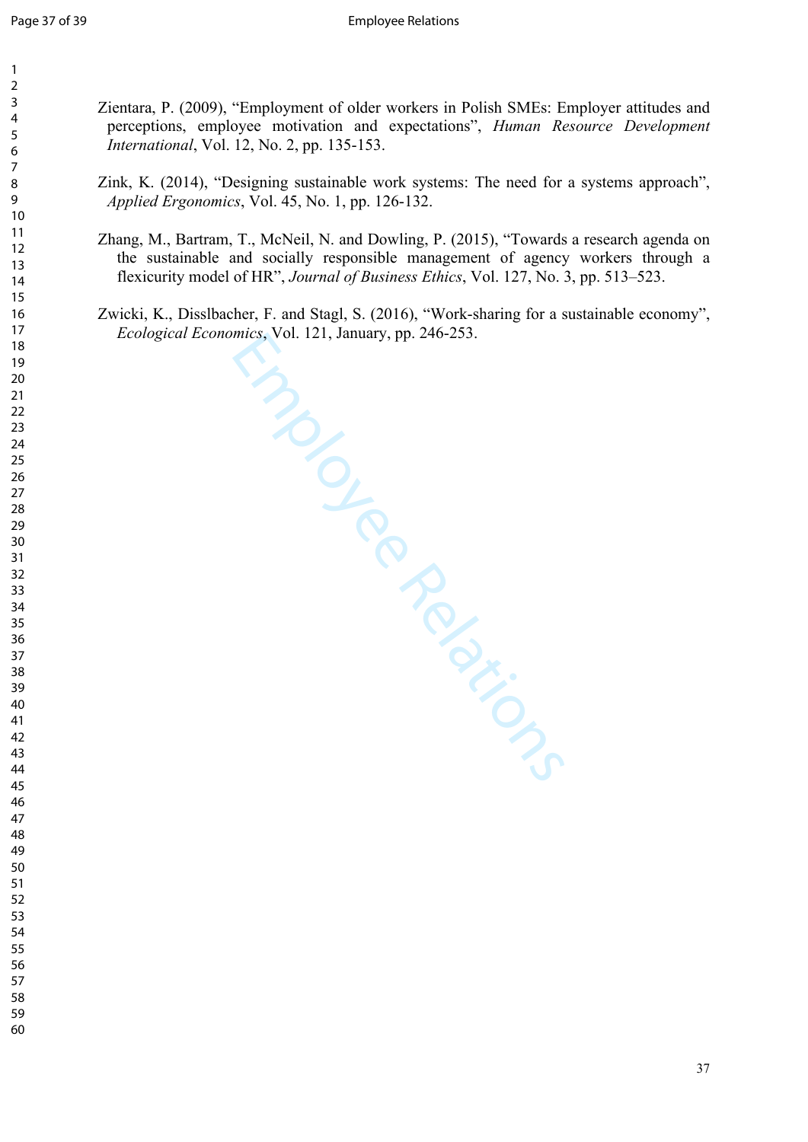$\mathbf{1}$  $\overline{2}$  $\overline{3}$ 

Zientara, P. (2009), "Employment of older workers in Polish SMEs: Employer attitudes and perceptions, employee motivation and expectations", *Human Resource Development International*, Vol. 12, No. 2, pp. 135-153.

Zink, K. (2014), "Designing sustainable work systems: The need for a systems approach", *Applied Ergonomics*, Vol. 45, No. 1, pp. 126-132.

Zhang, M., Bartram, T., McNeil, N. and Dowling, P. (2015), "Towards a research agenda on the sustainable and socially responsible management of agency workers through a flexicurity model of HR", *Journal of Business Ethics*, Vol. 127, No. 3, pp. 513–523.

Zwicki, K., Disslbacher, F. and Stagl, S. (2016), "Work-sharing for a sustainable economy", *Ecological Economics*, Vol. 121, January, pp. 246-253.

ah, Jour.<br>
F. and Stagl..<br>  $\frac{1}{x}$ , Vol. 121, Januar<br>  $\frac{1}{x}$ <br>  $\frac{1}{x}$ <br>  $\frac{1}{x}$ <br>  $\frac{1}{x}$ <br>  $\frac{1}{x}$ <br>  $\frac{1}{x}$ <br>  $\frac{1}{x}$ <br>  $\frac{1}{x}$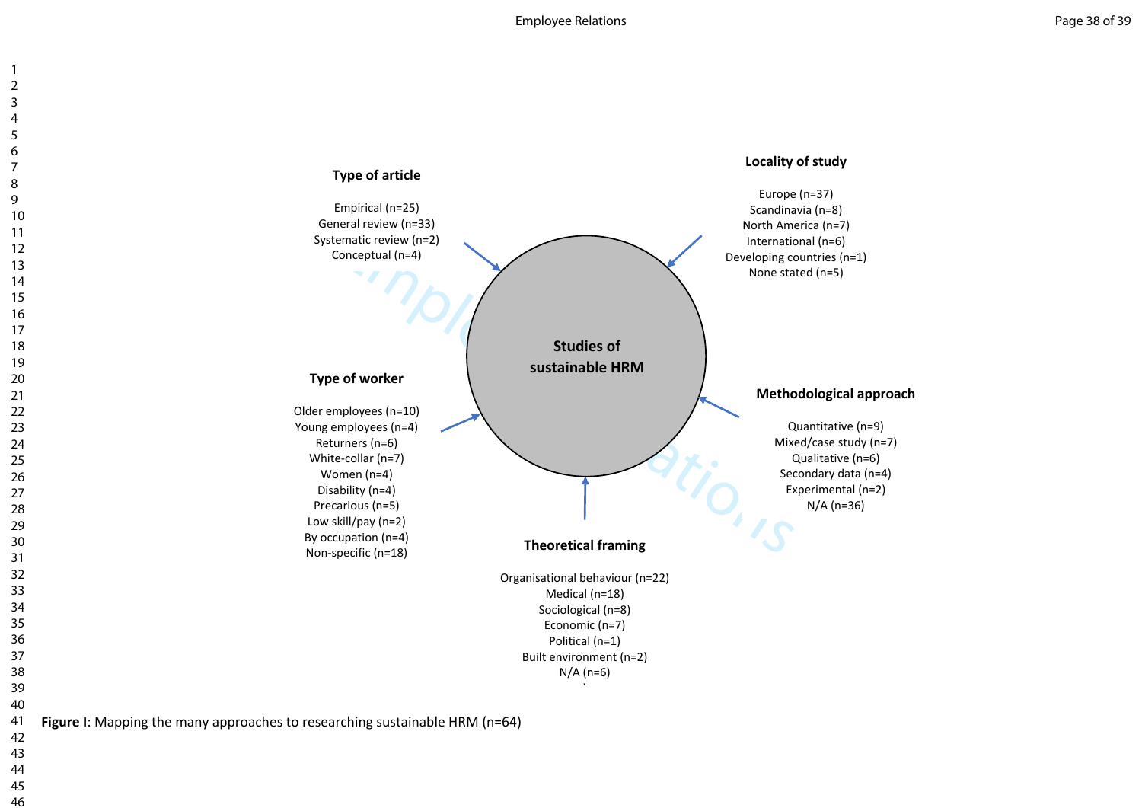